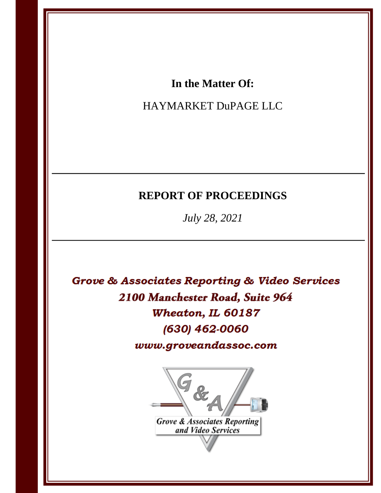## In the Matter Of:

## HAYMARKET DuPAGE LLC

## **REPORT OF PROCEEDINGS**

July 28, 2021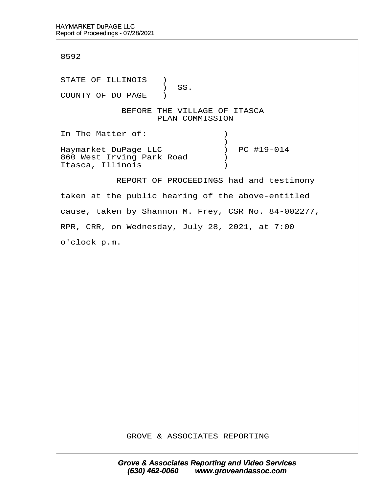8592

STATE OF ILLINOIS ) ) SS. COUNTY OF DU PAGE )

Itasca, Illinois (1998)

#### BEFORE THE VILLAGE OF ITASCA PLAN COMMISSION

In The Matter of:  $\qquad \qquad$  )  $\hspace{0.5cm}$   $\hspace{0.5cm}$   $\hspace{0.5cm}$   $\hspace{0.5cm}$   $\hspace{0.5cm}$   $\hspace{0.5cm}$   $\hspace{0.5cm}$   $\hspace{0.5cm}$   $\hspace{0.5cm}$   $\hspace{0.5cm}$   $\hspace{0.5cm}$   $\hspace{0.5cm}$   $\hspace{0.5cm}$   $\hspace{0.5cm}$   $\hspace{0.5cm}$   $\hspace{0.5cm}$   $\hspace{0.5cm}$   $\hspace{0.5cm}$   $\hspace{$ Haymarket DuPage LLC  $\qquad \qquad$  ) PC #19-014 860 West Irving Park Road )

REPORT OF PROCEEDINGS had and testimony

taken at the public hearing of the above-entitled

cause, taken by Shannon M. Frey, CSR No. 84-002277,

RPR, CRR, on Wednesday, July 28, 2021, at 7:00

o'clock p.m.

GROVE & ASSOCIATES REPORTING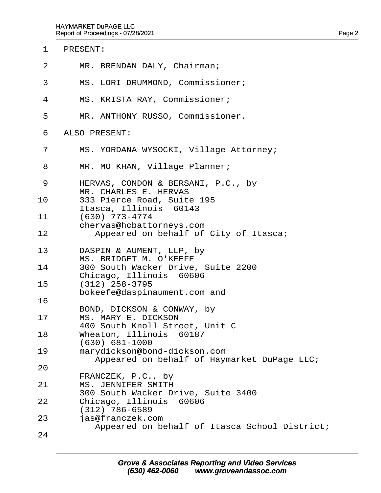#### 1 **PRESENT:**

- 2 | MR. BRENDAN DALY, Chairman;
- 3 | MS. LORI DRUMMOND, Commissioner;
- 4 | MS. KRISTA RAY, Commissioner;
- 5 | MR. ANTHONY RUSSO, Commissioner.
- 6 ALSO PRESENT:
- 7 | MS. YORDANA WYSOCKI, Village Attorney;
- 8 | MR. MO KHAN, Village Planner;
- 9 | HERVAS, CONDON & BERSANI, P.C., by MR. CHARLES E. HERVAS 10 | 333 Pierce Road, Suite 195 ltasca, Illinois 60143<br>11 (630) 773-4774 (630) 773-4774 chervas@hcbattorneys.com 12 | Appeared on behalf of City of Itasca; 13 | DASPIN & AUMENT, LLP, by MS. BRIDGET M. O'KEEFE 14 | 300 South Wacker Drive, Suite 2200 Chicago, Illinois 60606 15· · · (312) 258-3795 · · · · bokeefe@daspinaument.com and 16
- BOND, DICKSON & CONWAY, by 17 | MS. MARY E. DICKSON
- · · · · 400 South Knoll Street, Unit C 18 | Wheaton, Illinois 60187
- · · · · (630) 681-1000
- 19 | marydickson@bond-dickson.com Appeared on behalf of Haymarket DuPage LLC; 20
- FRANCZEK, P.C., by
- 21 | MS. JENNIFER SMITH
- 300 South Wacker Drive, Suite 3400<br>22 Chicago, Illinois, 60606 Chicago, Illinois 60606
- 
- 312) 786-6589 (312)<br>.as@franczek (31 ias@franczek.com Appeared on behalf of Itasca School District;

24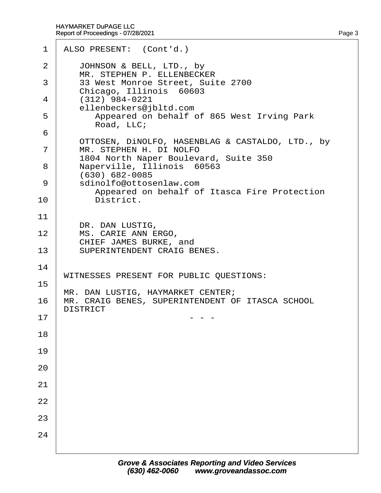| 1                 | ALSO PRESENT: (Cont'd.)                                                 |
|-------------------|-------------------------------------------------------------------------|
| 2                 | JOHNSON & BELL, LTD., by<br>MR. STEPHEN P. ELLENBECKER                  |
| 3                 | 33 West Monroe Street, Suite 2700                                       |
| 4                 | Chicago, Illinois 60603<br>(312) 984-0221<br>ellenbeckers@jbltd.com     |
| 5                 | Appeared on behalf of 865 West Irving Park<br>Road, LLC;                |
| 6                 | OTTOSEN, DINOLFO, HASENBLAG & CASTALDO, LTD., by                        |
| $\overline{7}$    | MR. STEPHEN H. DI NOLFO<br>1804 North Naper Boulevard, Suite 350        |
| 8                 | Naperville, Illinois 60563<br>(630) 682-0085                            |
| 9                 | sdinolfo@ottosenlaw.com<br>Appeared on behalf of Itasca Fire Protection |
| 10                | District.                                                               |
| 11                | DR. DAN LUSTIG,                                                         |
| $12 \overline{ }$ | MS. CARIE ANN ERGO,<br>CHIEF JAMES BURKE, and                           |
| 13                | SUPERINTENDENT CRAIG BENES.                                             |
| 14                | WITNESSES PRESENT FOR PUBLIC QUESTIONS:                                 |
| 15                | MR. DAN LUSTIG, HAYMARKET CENTER;                                       |
| 16                | MR. CRAIG BENES, SUPERINTENDENT OF ITASCA SCHOOL<br><b>DISTRICT</b>     |
| 17                |                                                                         |
| 18                |                                                                         |
| 19                |                                                                         |
| 20                |                                                                         |
| 21                |                                                                         |
| 22                |                                                                         |
| 23                |                                                                         |
| 24                |                                                                         |
|                   |                                                                         |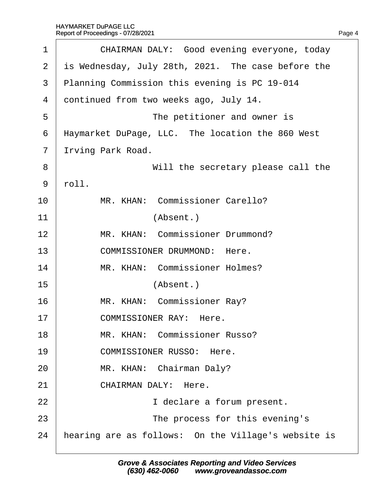<span id="page-4-0"></span>

| 1              | CHAIRMAN DALY: Good evening everyone, today         |
|----------------|-----------------------------------------------------|
| $\overline{2}$ | is Wednesday, July 28th, 2021. The case before the  |
| 3              | Planning Commission this evening is PC 19-014       |
| $\overline{4}$ | dontinued from two weeks ago, July 14.              |
| 5              | The petitioner and owner is                         |
| 6              | Haymarket DuPage, LLC. The location the 860 West    |
| $\overline{7}$ | Itving Park Road.                                   |
| 8              | Will the secretary please call the                  |
| 9              | rbll.                                               |
| 10             | MR. KHAN: Commissioner Carello?                     |
| 11             | (Absent.)                                           |
| 12             | MR. KHAN: Commissioner Drummond?                    |
| 13             | <b>COMMISSIONER DRUMMOND: Here.</b>                 |
| 14             | MR. KHAN: Commissioner Holmes?                      |
| 15             | (Absent.)                                           |
| 16             | MR. KHAN: Commissioner Ray?                         |
| 17             | <b>COMMISSIONER RAY: Here.</b>                      |
| 18             | MR. KHAN: Commissioner Russo?                       |
| 19             | <b>COMMISSIONER RUSSO: Here.</b>                    |
| 20             | MR. KHAN: Chairman Daly?                            |
| 21             | CHAIRMAN DALY: Here.                                |
| 22             | I declare a forum present.                          |
| 23             | The process for this evening's                      |
| 24             | hearing are as follows: On the Village's website is |
|                |                                                     |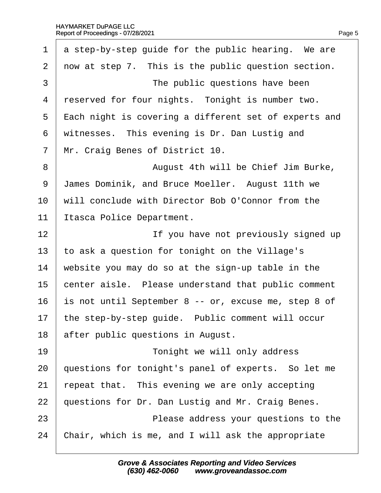<span id="page-5-0"></span>

| 1              | a step-by-step guide for the public hearing. We are   |
|----------------|-------------------------------------------------------|
| $\overline{2}$ | now at step 7. This is the public question section.   |
| 3              | The public questions have been                        |
| 4              | reserved for four nights. Tonight is number two.      |
| 5              | Each night is covering a different set of experts and |
| 6              | witnesses. This evening is Dr. Dan Lustig and         |
| $\overline{7}$ | Mr. Craig Benes of District 10.                       |
| 8              | August 4th will be Chief Jim Burke,                   |
| 9              | James Dominik, and Bruce Moeller. August 11th we      |
| 10             | will conclude with Director Bob O'Connor from the     |
| 11             | tasca Police Department.                              |
| 12             | If you have not previously signed up                  |
| 13             | to ask a question for tonight on the Village's        |
| 14             | website you may do so at the sign-up table in the     |
| 15             | center aisle. Please understand that public comment   |
| 16             | is not until September 8 -- or, excuse me, step 8 of  |
| 17             | the step-by-step guide. Public comment will occur     |
| 18             | after public questions in August.                     |
| 19             | Tonight we will only address                          |
| 20             | questions for tonight's panel of experts. So let me   |
| 21             | repeat that. This evening we are only accepting       |
| 22             | questions for Dr. Dan Lustig and Mr. Craig Benes.     |
| 23             | Please address your questions to the                  |
| 24             | Chair, which is me, and I will ask the appropriate    |
|                |                                                       |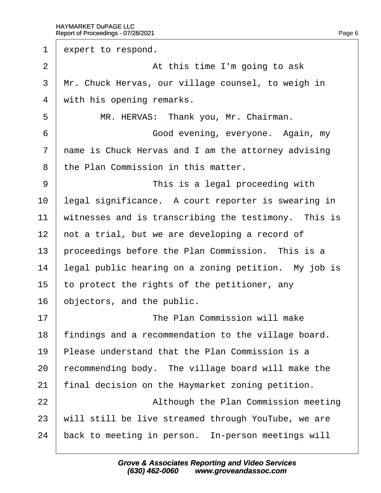<span id="page-6-0"></span>1 expert to respond. 2 **At this time I'm going to ask** 3 Mr. Chuck Hervas, our village counsel, to weigh in 4 with his opening remarks. 5 | MR. HERVAS: Thank you, Mr. Chairman. 6 **6 • · · · · · Good evening, everyone.** Again, my 7 name is Chuck Hervas and I am the attorney advising 8 the Plan Commission in this matter. 9 **I** This is a legal proceeding with 10 legal significance. A court reporter is swearing in 11 witnesses and is transcribing the testimony. This is 12 hot a trial, but we are developing a record of 13 proceedings before the Plan Commission. This is a 14 legal public hearing on a zoning petition. My job is 15 to protect the rights of the petitioner, any 16 biectors, and the public. 17 **I I** *The Plan Commission will make* 18 findings and a recommendation to the village board. 19 Please understand that the Plan Commission is a 20 recommending body. The village board will make the 21 final decision on the Haymarket zoning petition. 22 **Although the Plan Commission meeting** 23 will still be live streamed through YouTube, we are 24 back to meeting in person. In-person meetings will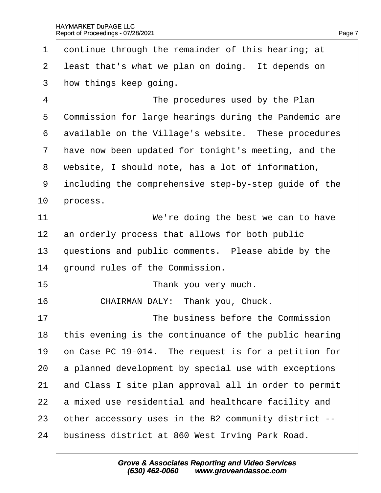<span id="page-7-0"></span>

| 1              | dontinue through the remainder of this hearing; at    |
|----------------|-------------------------------------------------------|
| 2              | least that's what we plan on doing. It depends on     |
| 3              | how things keep going.                                |
| $\overline{4}$ | The procedures used by the Plan                       |
| 5              | Commission for large hearings during the Pandemic are |
| 6              | available on the Village's website. These procedures  |
| $\overline{7}$ | have now been updated for tonight's meeting, and the  |
| 8              | website, I should note, has a lot of information,     |
| 9              | including the comprehensive step-by-step guide of the |
| 10             | process.                                              |
| 11             | We're doing the best we can to have                   |
| 12             | an orderly process that allows for both public        |
| 13             | questions and public comments. Please abide by the    |
| 14             | ground rules of the Commission.                       |
| 15             | Thank you very much.                                  |
| 16             | CHAIRMAN DALY: Thank you, Chuck.                      |
| 17             | The business before the Commission                    |
| 18             | this evening is the continuance of the public hearing |
| 19             | on Case PC 19-014. The request is for a petition for  |
| 20             | a planned development by special use with exceptions  |
| 21             | and Class I site plan approval all in order to permit |
| 22             | a mixed use residential and healthcare facility and   |
| 23             | other accessory uses in the B2 community district --  |
| 24             | business district at 860 West Irving Park Road.       |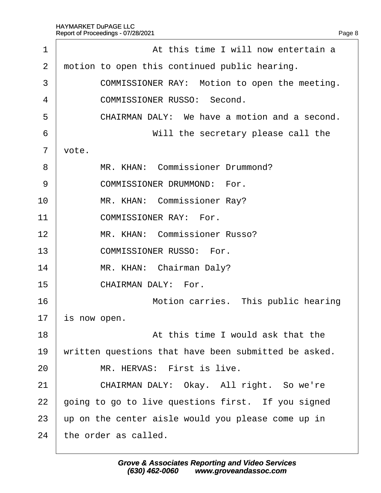<span id="page-8-0"></span>

| 1              | At this time I will now entertain a                  |
|----------------|------------------------------------------------------|
| 2              | motion to open this continued public hearing.        |
| 3              | COMMISSIONER RAY: Motion to open the meeting.        |
| 4              | <b>COMMISSIONER RUSSO: Second.</b>                   |
| 5              | CHAIRMAN DALY: We have a motion and a second.        |
| 6              | Will the secretary please call the                   |
| $\overline{7}$ | vote.                                                |
| 8              | MR. KHAN: Commissioner Drummond?                     |
| 9              | <b>COMMISSIONER DRUMMOND: For.</b>                   |
| 10             | MR. KHAN: Commissioner Ray?                          |
| 11             | <b>COMMISSIONER RAY: For.</b>                        |
| 12             | MR. KHAN: Commissioner Russo?                        |
| 13             | <b>COMMISSIONER RUSSO: For.</b>                      |
| 14             | MR. KHAN: Chairman Daly?                             |
| 15             | CHAIRMAN DALY: For.                                  |
| 16             | Motion carries. This public hearing                  |
| 17             | is now open.                                         |
| 18             | At this time I would ask that the                    |
| 19             | written questions that have been submitted be asked. |
| 20             | MR. HERVAS: First is live.                           |
| 21             | CHAIRMAN DALY: Okay. All right. So we're             |
| 22             | going to go to live questions first. If you signed   |
| 23             | up on the center aisle would you please come up in   |
| 24             | the order as called.                                 |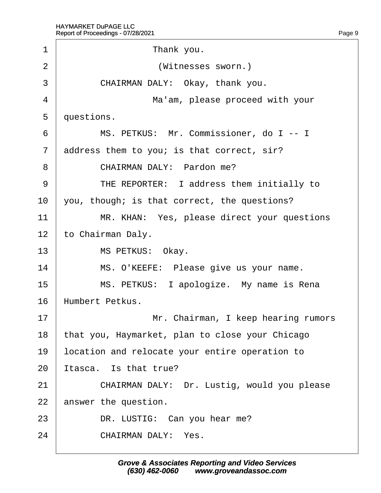<span id="page-9-0"></span>

| 1              | Thank you.                                      |
|----------------|-------------------------------------------------|
| $\overline{2}$ | (Witnesses sworn.)                              |
| 3              | CHAIRMAN DALY: Okay, thank you.                 |
| 4              | Ma'am, please proceed with your                 |
| 5              | duestions.                                      |
| 6              | MS. PETKUS: Mr. Commissioner, do I -- I         |
| $\overline{7}$ | address them to you; is that correct, sir?      |
| 8              | CHAIRMAN DALY: Pardon me?                       |
| 9              | THE REPORTER: I address them initially to       |
| 10             | you, though; is that correct, the questions?    |
| 11             | MR. KHAN: Yes, please direct your questions     |
| 12             | to Chairman Daly.                               |
| 13             | MS PETKUS: Okay.                                |
| 14             | MS. O'KEEFE: Please give us your name.          |
| 15             | MS. PETKUS: I apologize. My name is Rena        |
| 16             | Humbert Petkus.                                 |
| 17             | Mr. Chairman, I keep hearing rumors             |
| 18             | that you, Haymarket, plan to close your Chicago |
| 19             | location and relocate your entire operation to  |
| 20             | tasca. Is that true?                            |
| 21             | CHAIRMAN DALY: Dr. Lustig, would you please     |
| 22             | answer the question.                            |
| 23             | DR. LUSTIG: Can you hear me?                    |
| 24             | <b>CHAIRMAN DALY: Yes.</b>                      |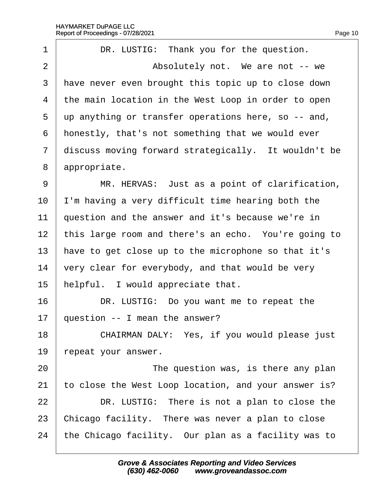<span id="page-10-0"></span>

| 1              | DR. LUSTIG: Thank you for the question.              |
|----------------|------------------------------------------------------|
| $\overline{2}$ | Absolutely not. We are not -- we                     |
| 3              | have never even brought this topic up to close down  |
| 4              | the main location in the West Loop in order to open  |
| 5              | up anything or transfer operations here, so -- and,  |
| 6              | honestly, that's not something that we would ever    |
| 7              | discuss moving forward strategically. It wouldn't be |
| 8              | appropriate.                                         |
| 9              | MR. HERVAS: Just as a point of clarification,        |
| 10             | 'm having a very difficult time hearing both the     |
| 11             | question and the answer and it's because we're in    |
| 12             | this large room and there's an echo. You're going to |
| 13             | have to get close up to the microphone so that it's  |
| 14             | very clear for everybody, and that would be very     |
| 15             | helpful. I would appreciate that.                    |
| 16             | DR. LUSTIG: Do you want me to repeat the             |
| 17             | question -- I mean the answer?                       |
| 18             | CHAIRMAN DALY: Yes, if you would please just         |
| 19             | repeat your answer.                                  |
| 20             | The question was, is there any plan                  |
| 21             | to close the West Loop location, and your answer is? |
| 22             | DR. LUSTIG: There is not a plan to close the         |
| 23             | Chicago facility. There was never a plan to close    |
| 24             | the Chicago facility. Our plan as a facility was to  |
|                |                                                      |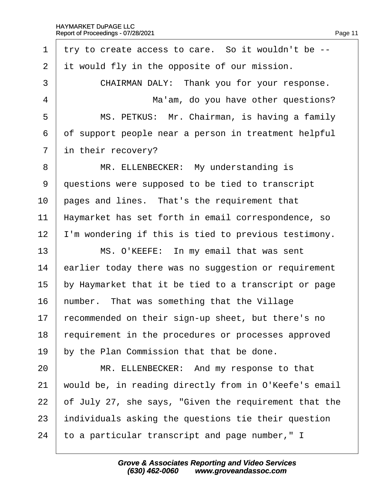<span id="page-11-0"></span>1 try to create access to care. So it wouldn't be --2 it would fly in the opposite of our mission. 3 **CHAIRMAN DALY: Thank you for your response.** 4 | Ma'am, do you have other questions? 5 | MS. PETKUS: Mr. Chairman, is having a family 6 of support people near a person in treatment helpful 7 in their recovery? 8 | MR. ELLENBECKER: My understanding is ·9· ·questions were supposed to be tied to transcript 10 pages and lines. That's the requirement that 11 Haymarket has set forth in email correspondence, so 12 I'm wondering if this is tied to previous testimony. 13 | MS. O'KEEFE: In my email that was sent 14 earlier today there was no suggestion or requirement 15 by Haymarket that it be tied to a transcript or page 16 humber. That was something that the Village 17 recommended on their sign-up sheet, but there's no 18 requirement in the procedures or processes approved 19 by the Plan Commission that that be done. 20 | MR. ELLENBECKER: And my response to that 21 would be, in reading directly from in O'Keefe's email 22 bf July 27, she says, "Given the requirement that the 23 individuals asking the questions tie their question 24 to a particular transcript and page number," I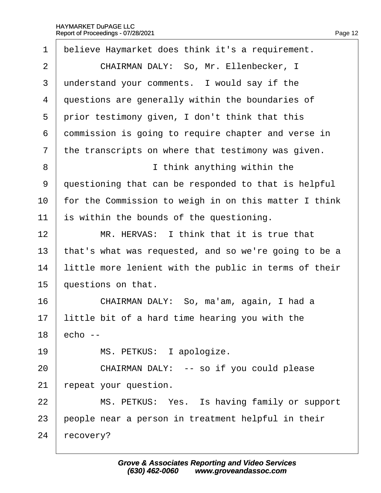<span id="page-12-0"></span>

| believe Haymarket does think it's a requirement.      |
|-------------------------------------------------------|
| CHAIRMAN DALY: So, Mr. Ellenbecker, I                 |
| understand your comments. I would say if the          |
| questions are generally within the boundaries of      |
| prior testimony given, I don't think that this        |
| dommission is going to require chapter and verse in   |
| the transcripts on where that testimony was given.    |
| I think anything within the                           |
| questioning that can be responded to that is helpful  |
| for the Commission to weigh in on this matter I think |
| s within the bounds of the questioning.               |
| MR. HERVAS: I think that it is true that              |
| that's what was requested, and so we're going to be a |
| little more lenient with the public in terms of their |
| questions on that.                                    |
| CHAIRMAN DALY: So, ma'am, again, I had a              |
| little bit of a hard time hearing you with the        |
| echo --                                               |
| MS. PETKUS: I apologize.                              |
| CHAIRMAN DALY: -- so if you could please              |
| epeat your question.                                  |
| MS. PETKUS: Yes. Is having family or support          |
| people near a person in treatment helpful in their    |
| ecovery?                                              |
|                                                       |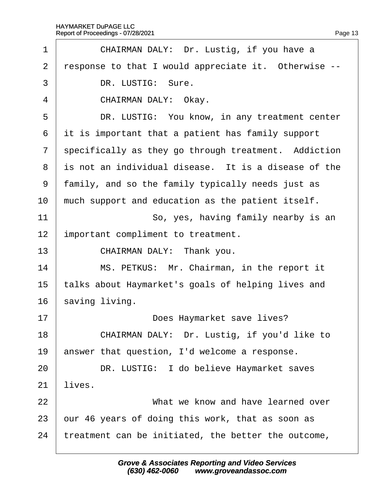<span id="page-13-0"></span>

| 1              | CHAIRMAN DALY: Dr. Lustig, if you have a             |
|----------------|------------------------------------------------------|
| $\overline{2}$ | response to that I would appreciate it. Otherwise -- |
| 3              | DR. LUSTIG: Sure.                                    |
| 4              | CHAIRMAN DALY: Okay.                                 |
| 5              | DR. LUSTIG: You know, in any treatment center        |
| 6              | it is important that a patient has family support    |
| $\overline{7}$ | specifically as they go through treatment. Addiction |
| 8              | is not an individual disease. It is a disease of the |
| 9              | family, and so the family typically needs just as    |
| 10             | much support and education as the patient itself.    |
| 11             | So, yes, having family nearby is an                  |
| 12             | important compliment to treatment.                   |
| 13             | CHAIRMAN DALY: Thank you.                            |
| 14             | MS. PETKUS: Mr. Chairman, in the report it           |
| 15             | talks about Haymarket's goals of helping lives and   |
| 16             | saving living.                                       |
| 17             | Does Haymarket save lives?                           |
| 18             | CHAIRMAN DALY: Dr. Lustig, if you'd like to          |
| 19             | answer that question, I'd welcome a response.        |
| 20             | DR. LUSTIG: I do believe Haymarket saves             |
| 21             | lives.                                               |
| 22             | What we know and have learned over                   |
| 23             | bur 46 years of doing this work, that as soon as     |
| 24             | treatment can be initiated, the better the outcome,  |
|                |                                                      |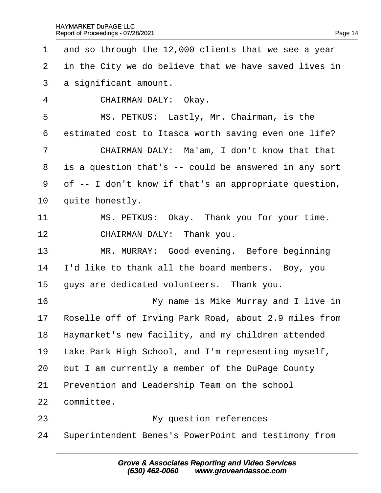<span id="page-14-0"></span>1 and so through the 12,000 clients that we see a year 2 in the City we do believe that we have saved lives in 3 a significant amount. 4 | CHAIRMAN DALY: Okav. 5 | MS. PETKUS: Lastly, Mr. Chairman, is the 6 estimated cost to Itasca worth saving even one life? 7 | CHAIRMAN DALY: Ma'am, I don't know that that ·8· ·is a question that's -- could be answered in any sort 9 of -- I don't know if that's an appropriate question, 10 quite honestly. 11 | MS. PETKUS: Okay. Thank you for your time. 12 **CHAIRMAN DALY: Thank you.** 13 | MR. MURRAY: Good evening. Before beginning 14 <sup>l'</sup>d like to thank all the board members. Boy, you 15 duys are dedicated volunteers. Thank you. 16 **I** My name is Mike Murray and I live in 17 Roselle off of Irving Park Road, about 2.9 miles from 18 Haymarket's new facility, and my children attended 19 Lake Park High School, and I'm representing myself, 20 but I am currently a member of the DuPage County 21 Prevention and Leadership Team on the school 22 committee. 23 | My question references 24 Superintendent Benes's PowerPoint and testimony from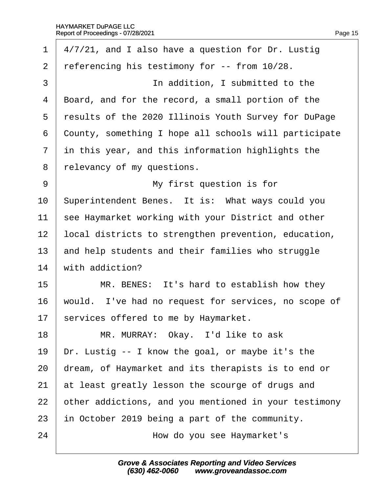<span id="page-15-0"></span>

| 1              | 4/7/21, and I also have a question for Dr. Lustig     |
|----------------|-------------------------------------------------------|
| $\overline{2}$ | referencing his testimony for -- from 10/28.          |
| 3              | In addition, I submitted to the                       |
| 4              | Board, and for the record, a small portion of the     |
| 5              | results of the 2020 Illinois Youth Survey for DuPage  |
| 6              | County, something I hope all schools will participate |
| $\overline{7}$ | in this year, and this information highlights the     |
| 8              | relevancy of my questions.                            |
| 9              | My first question is for                              |
| 10             | Superintendent Benes. It is: What ways could you      |
| 11             | see Haymarket working with your District and other    |
| 12             | local districts to strengthen prevention, education,  |
| 13             | and help students and their families who struggle     |
| 14             | with addiction?                                       |
| 15             | MR. BENES: It's hard to establish how they            |
| 16             | would. I've had no request for services, no scope of  |
| 17             | services offered to me by Haymarket.                  |
| 18             | MR. MURRAY: Okay. I'd like to ask                     |
| 19             | Dr. Lustig -- I know the goal, or maybe it's the      |
| 20             | dream, of Haymarket and its therapists is to end or   |
| 21             | at least greatly lesson the scourge of drugs and      |
| 22             | other addictions, and you mentioned in your testimony |
| 23             | in October 2019 being a part of the community.        |
| 24             | How do you see Haymarket's                            |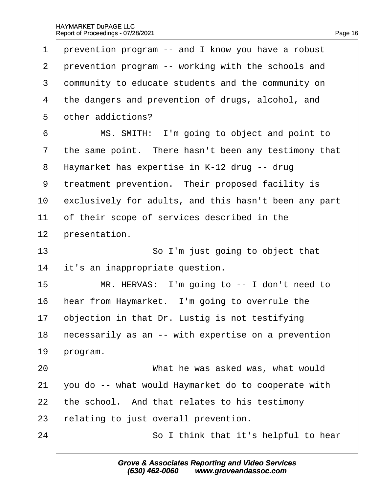<span id="page-16-0"></span>

| prevention program -- and I know you have a robust    |
|-------------------------------------------------------|
| prevention program -- working with the schools and    |
| dommunity to educate students and the community on    |
| the dangers and prevention of drugs, alcohol, and     |
| other addictions?                                     |
| MS. SMITH: I'm going to object and point to           |
| the same point. There hasn't been any testimony that  |
| Haymarket has expertise in K-12 drug -- drug          |
| treatment prevention. Their proposed facility is      |
| exclusively for adults, and this hasn't been any part |
| of their scope of services described in the           |
| presentation.                                         |
| So I'm just going to object that                      |
| it's an inappropriate question.                       |
| MR. HERVAS: I'm going to -- I don't need to           |
| hear from Haymarket. I'm going to overrule the        |
| objection in that Dr. Lustig is not testifying        |
| hecessarily as an -- with expertise on a prevention   |
| program.                                              |
| What he was asked was, what would                     |
| you do -- what would Haymarket do to cooperate with   |
| the school. And that relates to his testimony         |
|                                                       |
| elating to just overall prevention.                   |
|                                                       |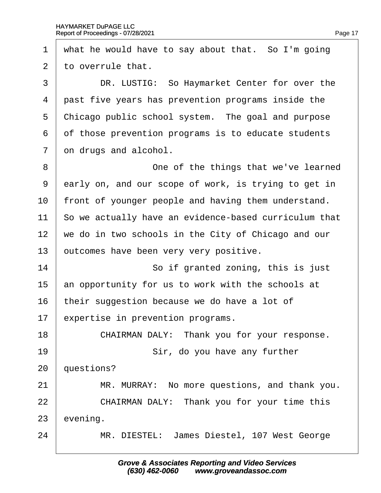<span id="page-17-0"></span>1 what he would have to say about that. So I'm going 2 to overrule that. 3 | DR. LUSTIG: So Haymarket Center for over the 4 past five years has prevention programs inside the 5 Chicago public school system. The goal and purpose 6 of those prevention programs is to educate students 7 on drugs and alcohol. 8 **Come of the things that we've learned** 9 darly on, and our scope of work, is trying to get in 10 front of younger people and having them understand. 11 So we actually have an evidence-based curriculum that 12 we do in two schools in the City of Chicago and our 13 butcomes have been very very positive. 14 **So** if granted zoning, this is just 15 an opportunity for us to work with the schools at 16 their suggestion because we do have a lot of 17 expertise in prevention programs. 18 **CHAIRMAN DALY:** Thank you for your response.  $19$   $\parallel$  Sir, do you have any further 20 *questions?* 21 | MR. MURRAY: No more questions, and thank you. 22 **CHAIRMAN DALY:** Thank you for your time this 23 evening. 24 | MR. DIESTEL: James Diestel, 107 West George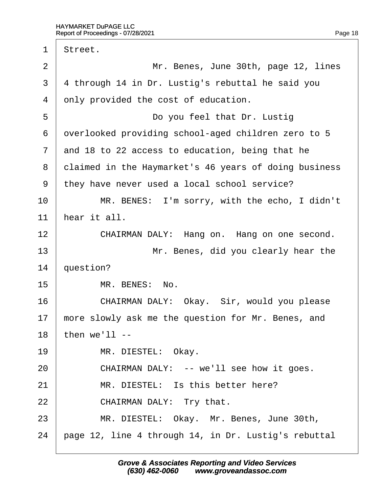<span id="page-18-0"></span>

| $\mathbf 1$    | Street.                                               |
|----------------|-------------------------------------------------------|
| 2              | Mr. Benes, June 30th, page 12, lines                  |
| 3              | 4 through 14 in Dr. Lustig's rebuttal he said you     |
| 4              | only provided the cost of education.                  |
| 5              | Do you feel that Dr. Lustig                           |
| 6              | dverlooked providing school-aged children zero to 5   |
| $\overline{7}$ | and 18 to 22 access to education, being that he       |
| 8              | dlaimed in the Haymarket's 46 years of doing business |
| 9              | they have never used a local school service?          |
| 10             | MR. BENES: I'm sorry, with the echo, I didn't         |
| 11             | hear it all.                                          |
| 12             | CHAIRMAN DALY: Hang on. Hang on one second.           |
|                |                                                       |
| 13             | Mr. Benes, did you clearly hear the                   |
| 14             | question?                                             |
| 15             | MR. BENES: No.                                        |
| 16             | CHAIRMAN DALY: Okay. Sir, would you please            |
| 17             | more slowly ask me the question for Mr. Benes, and    |
| 18             | then we'll --                                         |
| 19             | MR. DIESTEL: Okay.                                    |
| 20             | CHAIRMAN DALY: -- we'll see how it goes.              |
| 21             | MR. DIESTEL: Is this better here?                     |
| 22             | CHAIRMAN DALY: Try that.                              |
| 23             | MR. DIESTEL: Okay. Mr. Benes, June 30th,              |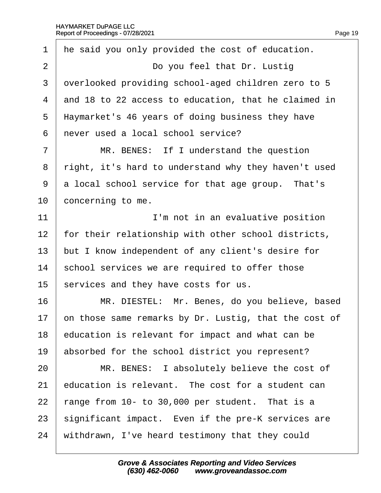<span id="page-19-0"></span>1 he said you only provided the cost of education. 2 **Do you feel that Dr. Lustig** 3 dyerlooked providing school-aged children zero to 5 4 and 18 to 22 access to education, that he claimed in 5 Haymarket's 46 years of doing business they have 6 riever used a local school service? 7 | MR. BENES: If I understand the question 8 right, it's hard to understand why they haven't used 9 a local school service for that age group. That's 10 concerning to me. 11 **I'm not in an evaluative position** 12 for their relationship with other school districts, 13 but I know independent of any client's desire for 14 school services we are required to offer those 15 services and they have costs for us. 16 | MR. DIESTEL: Mr. Benes, do you believe, based 17 bn those same remarks by Dr. Lustig, that the cost of 18 education is relevant for impact and what can be 19 absorbed for the school district you represent? 20 | MR. BENES: I absolutely believe the cost of 21 education is relevant. The cost for a student can 22  $\frac{1}{2}$  range from 10- to 30,000 per student. That is a 23 significant impact. Even if the pre-K services are 24 withdrawn, I've heard testimony that they could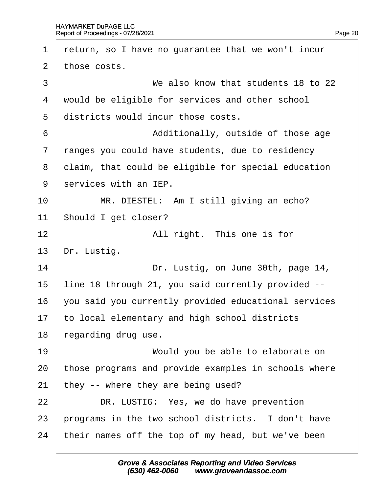<span id="page-20-0"></span>

| 1  | return, so I have no guarantee that we won't incur   |
|----|------------------------------------------------------|
| 2  | those costs.                                         |
| 3  | We also know that students 18 to 22                  |
| 4  | would be eligible for services and other school      |
| 5  | districts would incur those costs.                   |
| 6  | Additionally, outside of those age                   |
| 7  | ranges you could have students, due to residency     |
| 8  | dlaim, that could be eligible for special education  |
| 9  | services with an IEP.                                |
| 10 | MR. DIESTEL: Am I still giving an echo?              |
| 11 | Should I get closer?                                 |
| 12 | All right. This one is for                           |
| 13 | Dr. Lustig.                                          |
| 14 | Dr. Lustig, on June 30th, page 14,                   |
| 15 | line 18 through 21, you said currently provided --   |
| 16 | you said you currently provided educational services |
| 17 | to local elementary and high school districts        |
| 18 | regarding drug use.                                  |
| 19 | Would you be able to elaborate on                    |
| 20 | those programs and provide examples in schools where |
| 21 | they -- where they are being used?                   |
| 22 | DR. LUSTIG: Yes, we do have prevention               |
| 23 | programs in the two school districts. I don't have   |
| 24 | their names off the top of my head, but we've been   |
|    |                                                      |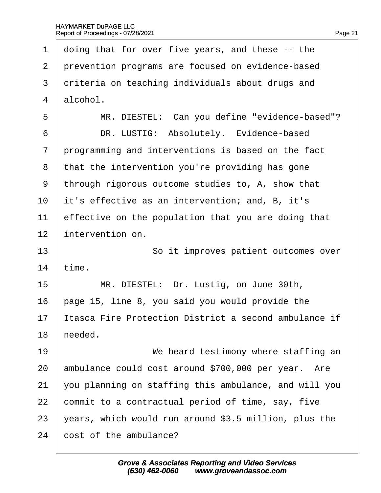<span id="page-21-0"></span>

| 1              | doing that for over five years, and these -- the      |
|----------------|-------------------------------------------------------|
| 2              | prevention programs are focused on evidence-based     |
| 3              | driteria on teaching individuals about drugs and      |
| 4              | alcohol.                                              |
| 5              | MR. DIESTEL: Can you define "evidence-based"?         |
| 6              | DR. LUSTIG: Absolutely. Evidence-based                |
| $\overline{7}$ | programming and interventions is based on the fact    |
| 8              | that the intervention you're providing has gone       |
| 9              | through rigorous outcome studies to, A, show that     |
| 10             | it's effective as an intervention; and, B, it's       |
| 11             | effective on the population that you are doing that   |
| 12             | intervention on.                                      |
|                |                                                       |
| 13             | So it improves patient outcomes over                  |
| 14             | time.                                                 |
| 15             | MR. DIESTEL: Dr. Lustig, on June 30th,                |
| 16             | page 15, line 8, you said you would provide the       |
| 17             | Itasca Fire Protection District a second ambulance if |
| 18             | heeded.                                               |
| 19             | We heard testimony where staffing an                  |
| 20             | ambulance could cost around \$700,000 per year. Are   |
| 21             | you planning on staffing this ambulance, and will you |
| 22             | commit to a contractual period of time, say, five     |
| 23             | years, which would run around \$3.5 million, plus the |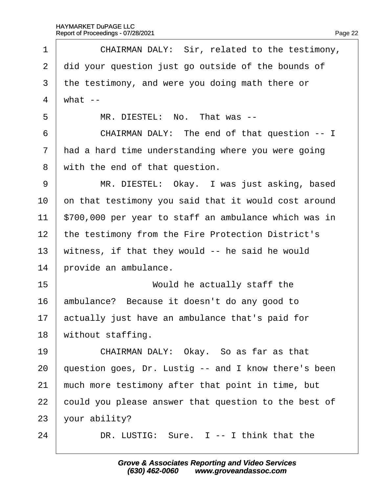<span id="page-22-0"></span>

| 1              | CHAIRMAN DALY: Sir, related to the testimony,         |
|----------------|-------------------------------------------------------|
| 2              | did your question just go outside of the bounds of    |
| 3              | the testimony, and were you doing math there or       |
| $\overline{4}$ | $what -$                                              |
| 5              | MR. DIESTEL: No. That was --                          |
| 6              | CHAIRMAN DALY: The end of that question -- I          |
| $\overline{7}$ | had a hard time understanding where you were going    |
| 8              | with the end of that question.                        |
| 9              | MR. DIESTEL: Okay. I was just asking, based           |
| 10             | on that testimony you said that it would cost around  |
| 11             | \$700,000 per year to staff an ambulance which was in |
| 12             | the testimony from the Fire Protection District's     |
| 13             | witness, if that they would -- he said he would       |
| 14             | provide an ambulance.                                 |
| 15             | Would he actually staff the                           |
| 16             | ambulance? Because it doesn't do any good to          |
| 17             | actually just have an ambulance that's paid for       |
| 18             | without staffing.                                     |
| 19             | CHAIRMAN DALY: Okay. So as far as that                |
| 20             | question goes, Dr. Lustig -- and I know there's been  |
| 21             | much more testimony after that point in time, but     |
| 22             | could you please answer that question to the best of  |
| 23             | your ability?                                         |
| 24             | DR. LUSTIG: Sure. I -- I think that the               |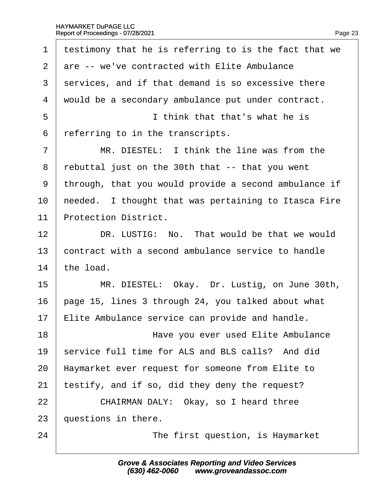<span id="page-23-0"></span>

| 1  | testimony that he is referring to is the fact that we |
|----|-------------------------------------------------------|
| 2  | are -- we've contracted with Elite Ambulance          |
| 3  | services, and if that demand is so excessive there    |
| 4  | would be a secondary ambulance put under contract.    |
| 5  | I think that that's what he is                        |
| 6  | referring to in the transcripts.                      |
| 7  | MR. DIESTEL: I think the line was from the            |
| 8  | rebuttal just on the 30th that -- that you went       |
| 9  | through, that you would provide a second ambulance if |
| 10 | heeded. I thought that was pertaining to Itasca Fire  |
| 11 | <b>Protection District.</b>                           |
| 12 | DR. LUSTIG: No. That would be that we would           |
| 13 | contract with a second ambulance service to handle    |
| 14 | the load.                                             |
| 15 | MR. DIESTEL: Okay. Dr. Lustig, on June 30th,          |
| 16 | page 15, lines 3 through 24, you talked about what    |
| 17 | Elite Ambulance service can provide and handle.       |
| 18 | Have you ever used Elite Ambulance                    |
| 19 | service full time for ALS and BLS calls? And did      |
| 20 | Haymarket ever request for someone from Elite to      |
| 21 | testify, and if so, did they deny the request?        |
| 22 | CHAIRMAN DALY: Okay, so I heard three                 |
| 23 | questions in there.                                   |
| 24 | The first question, is Haymarket                      |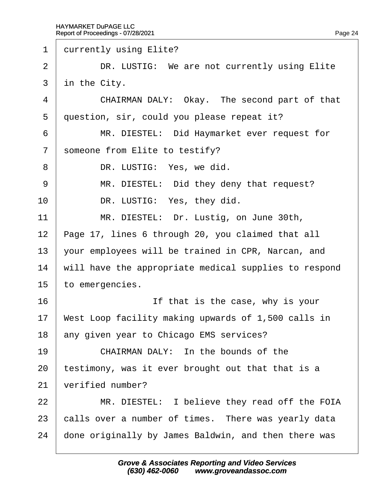<span id="page-24-0"></span>1 durrently using Elite?

2 | DR. LUSTIG: We are not currently using Elite

3 in the City.

- 4 CHAIRMAN DALY: Okay. The second part of that
- 5 duestion, sir, could you please repeat it?
- 6 | MR. DIESTEL: Did Haymarket ever request for
- 7 someone from Elite to testify?
- 8 | DR. LUSTIG: Yes, we did.
- 9 | MR. DIESTEL: Did they deny that request?
- 10 | DR. LUSTIG: Yes, they did.
- 11 | MR. DIESTEL: Dr. Lustig, on June 30th,
- 12 Page 17, lines 6 through 20, you claimed that all
- 13 your employees will be trained in CPR, Narcan, and
- 14 will have the appropriate medical supplies to respond
- 15 to emergencies.
- 16 **If that is the case, why is your**
- 17 West Loop facility making upwards of 1,500 calls in
- 18 any given year to Chicago EMS services?
- $19$   $\phantom{1}$  CHAIRMAN DALY: In the bounds of the
- 20 testimony, was it ever brought out that that is a
- 21 verified number?
- 22 | MR. DIESTEL: I believe they read off the FOIA
- 23 calls over a number of times. There was yearly data
- 24 done originally by James Baldwin, and then there was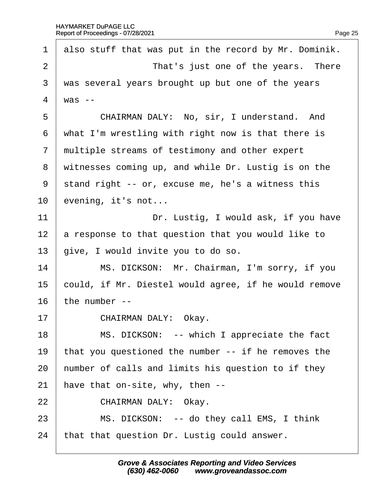<span id="page-25-0"></span>1 also stuff that was put in the record by Mr. Dominik. 2 **I** That's just one of the years. There 3 was several years brought up but one of the years 4  $\text{was}$  --5 | CHAIRMAN DALY: No, sir, I understand. And 6 what I'm wrestling with right now is that there is 7 multiple streams of testimony and other expert 8 witnesses coming up, and while Dr. Lustig is on the 9 stand right -- or, excuse me, he's a witness this 10 evening, it's not... 11 **Dr. Lustig, I would ask, if you have** 12 a response to that question that you would like to 13 give, I would invite you to do so. 14 | MS. DICKSON: Mr. Chairman, I'm sorry, if you 15 bould, if Mr. Diestel would agree, if he would remove 16  $\frac{1}{2}$  the number --17 | CHAIRMAN DALY: Okay. 18 | MS. DICKSON: -- which I appreciate the fact 19 that you questioned the number -- if he removes the 20 humber of calls and limits his question to if they 21 have that on-site, why, then --22 | CHAIRMAN DALY: Okay. 23 | MS. DICKSON: -- do they call EMS, I think 24 that that question Dr. Lustig could answer.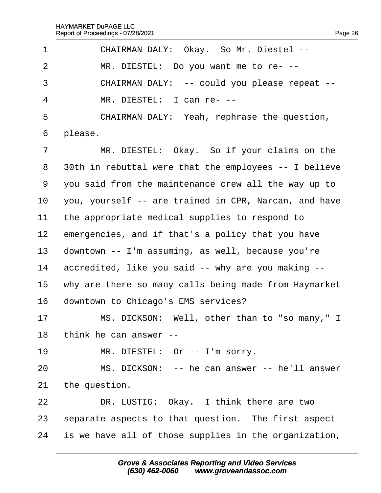<span id="page-26-0"></span>

| 1              | CHAIRMAN DALY: Okay. So Mr. Diestel --                |
|----------------|-------------------------------------------------------|
| $\overline{2}$ | MR. DIESTEL: Do you want me to re---                  |
| 3              | CHAIRMAN DALY: -- could you please repeat --          |
| $\overline{4}$ | MR. DIESTEL: I can re---                              |
| 5              | CHAIRMAN DALY: Yeah, rephrase the question,           |
| 6              | please.                                               |
| $\overline{7}$ | MR. DIESTEL: Okay. So if your claims on the           |
| 8              | 30th in rebuttal were that the employees -- I believe |
| 9              | you said from the maintenance crew all the way up to  |
| 10             | you, yourself -- are trained in CPR, Narcan, and have |
| 11             | the appropriate medical supplies to respond to        |
| 12             | emergencies, and if that's a policy that you have     |
| 13             | downtown -- I'm assuming, as well, because you're     |
| 14             | accredited, like you said -- why are you making --    |
| 15             | why are there so many calls being made from Haymarket |
| 16             | downtown to Chicago's EMS services?                   |
| 17             | MS. DICKSON: Well, other than to "so many," I         |
| 18             | think he can answer --                                |
| 19             | MR. DIESTEL: Or -- I'm sorry.                         |
| 20             | MS. DICKSON: -- he can answer -- he'll answer         |
| 21             | the question.                                         |
| 22             | DR. LUSTIG: Okay. I think there are two               |
| 23             | separate aspects to that question. The first aspect   |
| 24             | s we have all of those supplies in the organization,  |
|                |                                                       |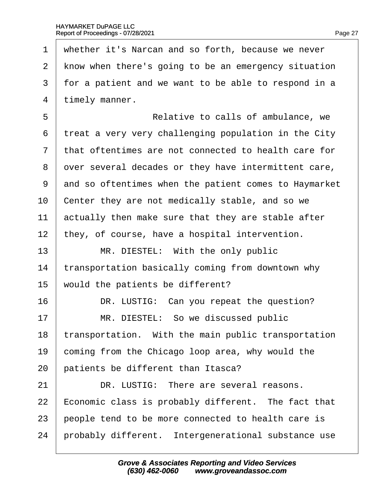<span id="page-27-0"></span>

| 1              | whether it's Narcan and so forth, because we never    |
|----------------|-------------------------------------------------------|
| $\overline{2}$ | know when there's going to be an emergency situation  |
| 3              | for a patient and we want to be able to respond in a  |
| 4              | timely manner.                                        |
| 5              | Relative to calls of ambulance, we                    |
| 6              | treat a very very challenging population in the City  |
| $\overline{7}$ | that oftentimes are not connected to health care for  |
| 8              | over several decades or they have intermittent care,  |
| 9              | and so oftentimes when the patient comes to Haymarket |
| 10             | Center they are not medically stable, and so we       |
| 11             | actually then make sure that they are stable after    |
| 12             | they, of course, have a hospital intervention.        |
| 13             | MR. DIESTEL: With the only public                     |
| 14             | transportation basically coming from downtown why     |
| 15             | would the patients be different?                      |
| 16             | DR. LUSTIG: Can you repeat the question?              |
| 17             | MR. DIESTEL: So we discussed public                   |
| 18             | transportation. With the main public transportation   |
| 19             | coming from the Chicago loop area, why would the      |
| 20             | patients be different than Itasca?                    |
| 21             | DR. LUSTIG: There are several reasons.                |
| 22             | Economic class is probably different. The fact that   |
| 23             | people tend to be more connected to health care is    |
| 24             | probably different. Intergenerational substance use   |
|                |                                                       |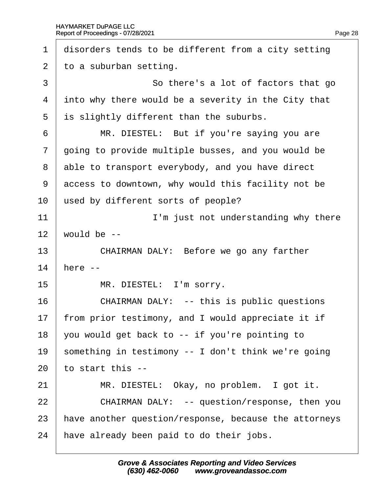<span id="page-28-0"></span>

| 1              | disorders tends to be different from a city setting   |
|----------------|-------------------------------------------------------|
| $\overline{2}$ | to a suburban setting.                                |
| 3              | So there's a lot of factors that go                   |
| 4              | into why there would be a severity in the City that   |
| 5              | is slightly different than the suburbs.               |
| 6              | MR. DIESTEL: But if you're saying you are             |
| 7              | going to provide multiple busses, and you would be    |
| 8              | able to transport everybody, and you have direct      |
| 9              | access to downtown, why would this facility not be    |
| 10             | used by different sorts of people?                    |
| 11             | I'm just not understanding why there                  |
| 12             | would be --                                           |
| 13             | CHAIRMAN DALY: Before we go any farther               |
| 14             | here --                                               |
| 15             | MR. DIESTEL: I'm sorry.                               |
| 16             | CHAIRMAN DALY: -- this is public questions            |
| 17             | from prior testimony, and I would appreciate it if    |
| 18             | you would get back to -- if you're pointing to        |
| 19             | something in testimony -- I don't think we're going   |
| 20             | to start this --                                      |
| 21             | MR. DIESTEL: Okay, no problem. I got it.              |
| 22             | CHAIRMAN DALY: -- question/response, then you         |
| 23             | have another question/response, because the attorneys |
| 24             | have already been paid to do their jobs.              |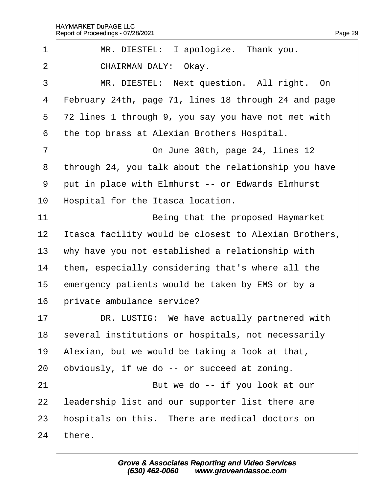<span id="page-29-0"></span>

| 1              | MR. DIESTEL: I apologize. Thank you.                  |
|----------------|-------------------------------------------------------|
| $\overline{2}$ | CHAIRMAN DALY: Okay.                                  |
| 3              | MR. DIESTEL: Next question. All right. On             |
| 4              | February 24th, page 71, lines 18 through 24 and page  |
| 5              | 72 lines 1 through 9, you say you have not met with   |
| 6              | the top brass at Alexian Brothers Hospital.           |
| 7              | On June 30th, page 24, lines 12                       |
| 8              | through 24, you talk about the relationship you have  |
| 9              | put in place with Elmhurst -- or Edwards Elmhurst     |
| 10             | Hospital for the Itasca location.                     |
| 11             | Being that the proposed Haymarket                     |
| 12             | Itasca facility would be closest to Alexian Brothers, |
| 13             | why have you not established a relationship with      |
| 14             | them, especially considering that's where all the     |
| 15             | emergency patients would be taken by EMS or by a      |
| 16             | private ambulance service?                            |
| 17             | DR. LUSTIG: We have actually partnered with           |
| 18             | several institutions or hospitals, not necessarily    |
| 19             | Alexian, but we would be taking a look at that,       |
| 20             | obviously, if we do -- or succeed at zoning.          |
| 21             | But we do -- if you look at our                       |
| 22             | leadership list and our supporter list there are      |
| 23             | hospitals on this. There are medical doctors on       |
| 24             | there.                                                |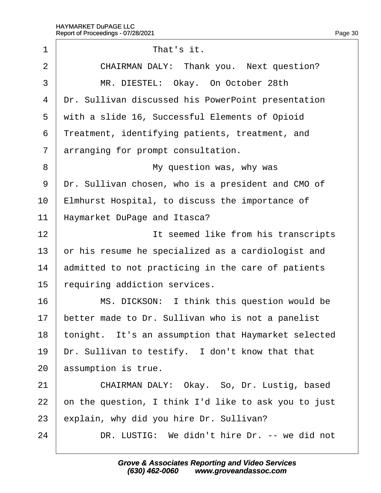<span id="page-30-0"></span>

| 1  | That's it.                                           |
|----|------------------------------------------------------|
| 2  | CHAIRMAN DALY: Thank you. Next question?             |
| 3  | MR. DIESTEL: Okay. On October 28th                   |
| 4  | Dr. Sullivan discussed his PowerPoint presentation   |
| 5  | with a slide 16, Successful Elements of Opioid       |
| 6  | Treatment, identifying patients, treatment, and      |
| 7  | arranging for prompt consultation.                   |
| 8  | My question was, why was                             |
| 9  | Dr. Sullivan chosen, who is a president and CMO of   |
| 10 | Elmhurst Hospital, to discuss the importance of      |
| 11 | Haymarket DuPage and Itasca?                         |
| 12 | It seemed like from his transcripts                  |
| 13 | or his resume he specialized as a cardiologist and   |
| 14 | admitted to not practicing in the care of patients   |
| 15 | requiring addiction services.                        |
| 16 | MS. DICKSON: I think this question would be          |
| 17 | better made to Dr. Sullivan who is not a panelist    |
| 18 | tonight. It's an assumption that Haymarket selected  |
| 19 | Dr. Sullivan to testify. I don't know that that      |
| 20 | assumption is true.                                  |
| 21 | CHAIRMAN DALY: Okay. So, Dr. Lustig, based           |
| 22 | on the question, I think I'd like to ask you to just |
| 23 | explain, why did you hire Dr. Sullivan?              |
| 24 | DR. LUSTIG: We didn't hire Dr. -- we did not         |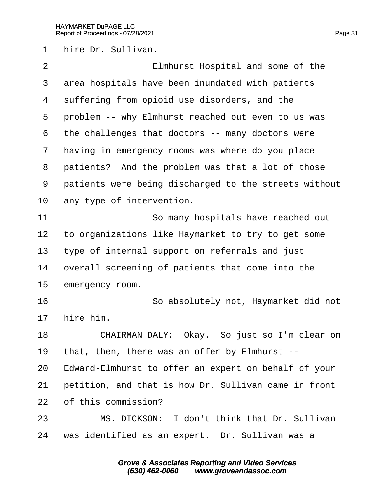<span id="page-31-0"></span>1 hire Dr. Sullivan.

2 **Elmhurst Hospital and some of the** 3 drea hospitals have been inundated with patients 4 suffering from opioid use disorders, and the 5 droblem -- why Elmhurst reached out even to us was ·6· ·the challenges that doctors -- many doctors were 7 having in emergency rooms was where do you place 8 patients? And the problem was that a lot of those 9 patients were being discharged to the streets without 10 any type of intervention. 11 **So many hospitals have reached out** 12 to organizations like Haymarket to try to get some 13 type of internal support on referrals and just 14 byerall screening of patients that come into the 15 emergency room. 16 **So absolutely not, Haymarket did not** 17 hire him. 18 | CHAIRMAN DALY: Okay. So just so I'm clear on 19 that, then, there was an offer by Elmhurst --20 Edward-Elmhurst to offer an expert on behalf of your 21 petition, and that is how Dr. Sullivan came in front 22 of this commission? 23 | MS. DICKSON: I don't think that Dr. Sullivan 24 was identified as an expert. Dr. Sullivan was a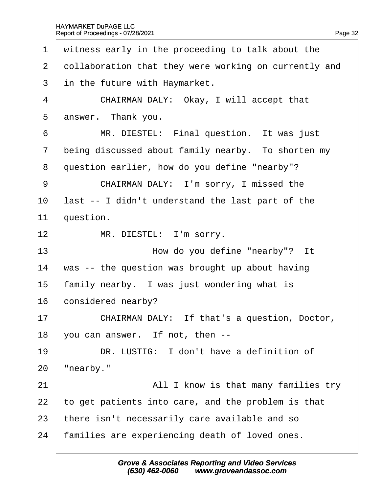<span id="page-32-0"></span>

| 1              | witness early in the proceeding to talk about the     |
|----------------|-------------------------------------------------------|
| 2              | dollaboration that they were working on currently and |
| 3              | in the future with Haymarket.                         |
| 4              | CHAIRMAN DALY: Okay, I will accept that               |
| 5              | answer. Thank you.                                    |
| 6              | MR. DIESTEL: Final question. It was just              |
| $\overline{7}$ | being discussed about family nearby. To shorten my    |
| 8              | question earlier, how do you define "nearby"?         |
| 9              | CHAIRMAN DALY: I'm sorry, I missed the                |
| 10             | last -- I didn't understand the last part of the      |
| 11             | question.                                             |
| 12             | MR. DIESTEL: I'm sorry.                               |
| 13             | How do you define "nearby"? It                        |
| 14             | was -- the question was brought up about having       |
| 15             | amily nearby. I was just wondering what is            |
| 16             | considered nearby?                                    |
| 17             | CHAIRMAN DALY: If that's a question, Doctor,          |
| 18             | you can answer. If not, then --                       |
| 19             | DR. LUSTIG: I don't have a definition of              |
| 20             | 'nearby."                                             |
| 21             | All I know is that many families try                  |
| 22             | to get patients into care, and the problem is that    |
| 23             | there isn't necessarily care available and so         |
|                |                                                       |
| 24             | families are experiencing death of loved ones.        |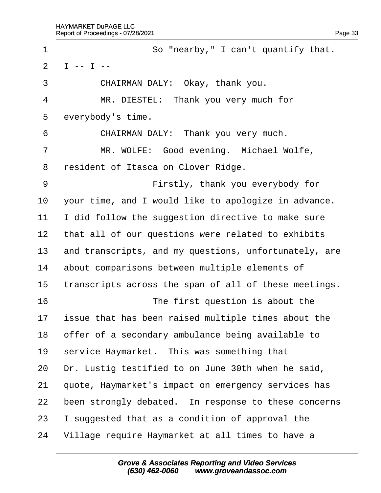<span id="page-33-0"></span>

| 1              | So "nearby," I can't quantify that.                   |
|----------------|-------------------------------------------------------|
| $\overline{2}$ | $  -  $ $-$                                           |
| 3              | CHAIRMAN DALY: Okay, thank you.                       |
| 4              | MR. DIESTEL: Thank you very much for                  |
| 5              | everybody's time.                                     |
| 6              | CHAIRMAN DALY: Thank you very much.                   |
| $\overline{7}$ | MR. WOLFE: Good evening. Michael Wolfe,               |
| 8              | resident of Itasca on Clover Ridge.                   |
| 9              | Firstly, thank you everybody for                      |
| 10             | your time, and I would like to apologize in advance.  |
| 11             | did follow the suggestion directive to make sure      |
| 12             | that all of our questions were related to exhibits    |
| 13             | and transcripts, and my questions, unfortunately, are |
| 14             | about comparisons between multiple elements of        |
| 15             | transcripts across the span of all of these meetings. |
| 16             | The first question is about the                       |
| 17             | ssue that has been raised multiple times about the    |
| 18             | offer of a secondary ambulance being available to     |
| 19             | service Haymarket. This was something that            |
| 20             | Dr. Lustig testified to on June 30th when he said,    |
| 21             | quote, Haymarket's impact on emergency services has   |
| 22             | been strongly debated. In response to these concerns  |
| 23             | suggested that as a condition of approval the         |
| 24             | Village require Haymarket at all times to have a      |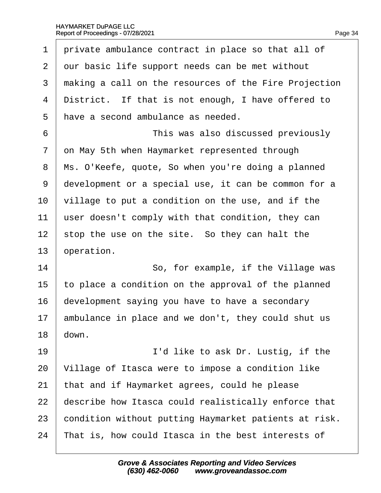<span id="page-34-0"></span>

| 1                        | private ambulance contract in place so that all of    |
|--------------------------|-------------------------------------------------------|
| $\overline{2}$           | dur basic life support needs can be met without       |
| 3                        | making a call on the resources of the Fire Projection |
| $\overline{\mathcal{A}}$ | District. If that is not enough, I have offered to    |
| 5                        | have a second ambulance as needed.                    |
| 6                        | This was also discussed previously                    |
| 7                        | on May 5th when Haymarket represented through         |
| 8                        | Ms. O'Keefe, quote, So when you're doing a planned    |
| 9                        | development or a special use, it can be common for a  |
| 10                       | village to put a condition on the use, and if the     |
| 11                       | user doesn't comply with that condition, they can     |
| 12                       | stop the use on the site. So they can halt the        |
| 13                       | operation.                                            |
| 14                       | So, for example, if the Village was                   |
| 15                       | to place a condition on the approval of the planned   |
| 16                       | development saying you have to have a secondary       |
| 17                       | ambulance in place and we don't, they could shut us   |
| 18                       | down.                                                 |
| 19                       | I'd like to ask Dr. Lustig, if the                    |
| 20                       | Village of Itasca were to impose a condition like     |
| 21                       | that and if Haymarket agrees, could he please         |
| 22                       | describe how Itasca could realistically enforce that  |
| 23                       | condition without putting Haymarket patients at risk. |
| 24                       | That is, how could Itasca in the best interests of    |
|                          |                                                       |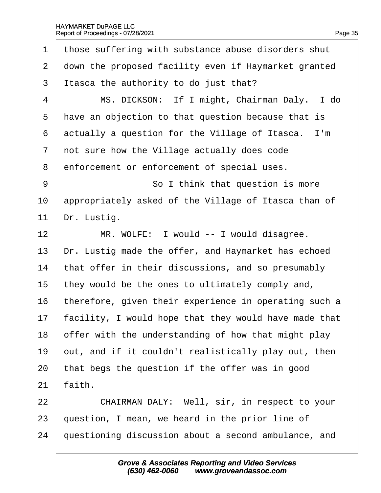<span id="page-35-0"></span>

| 1              | those suffering with substance abuse disorders shut   |
|----------------|-------------------------------------------------------|
| $\overline{2}$ | down the proposed facility even if Haymarket granted  |
| 3              | Itasca the authority to do just that?                 |
| $\overline{4}$ | MS. DICKSON: If I might, Chairman Daly. I do          |
| 5              | have an objection to that question because that is    |
| 6              | actually a question for the Village of Itasca. I'm    |
| $\overline{7}$ | not sure how the Village actually does code           |
| 8              | enforcement or enforcement of special uses.           |
| 9              | So I think that question is more                      |
| 10             | appropriately asked of the Village of Itasca than of  |
| 11             | Dr. Lustig.                                           |
| 12             | MR. WOLFE: I would -- I would disagree.               |
| 13             | Dr. Lustig made the offer, and Haymarket has echoed   |
| 14             | that offer in their discussions, and so presumably    |
| 15             | they would be the ones to ultimately comply and,      |
| 16             | therefore, given their experience in operating such a |
| 17             | facility, I would hope that they would have made that |
| 18             | offer with the understanding of how that might play   |
| 19             | out, and if it couldn't realistically play out, then  |
| 20             | that begs the question if the offer was in good       |
| 21             | faith.                                                |
| 22             | CHAIRMAN DALY: Well, sir, in respect to your          |
| 23             | question, I mean, we heard in the prior line of       |
| 24             | questioning discussion about a second ambulance, and  |
|                |                                                       |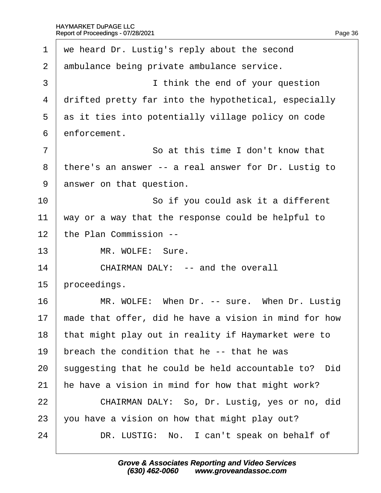<span id="page-36-0"></span>

| 1              | we heard Dr. Lustig's reply about the second          |
|----------------|-------------------------------------------------------|
| 2              | ambulance being private ambulance service.            |
| 3              | I think the end of your question                      |
| 4              | drifted pretty far into the hypothetical, especially  |
| 5              | as it ties into potentially village policy on code    |
| 6              | enforcement.                                          |
| $\overline{7}$ | So at this time I don't know that                     |
| 8              | there's an answer -- a real answer for Dr. Lustig to  |
| 9              | answer on that question.                              |
| 10             | So if you could ask it a different                    |
| 11             | way or a way that the response could be helpful to    |
| 12             | the Plan Commission --                                |
| 13             | MR. WOLFE: Sure.                                      |
| 14             | <b>CHAIRMAN DALY: -- and the overall</b>              |
| 15             | proceedings.                                          |
| 16             | MR. WOLFE: When Dr. -- sure. When Dr. Lustig          |
| 17             | made that offer, did he have a vision in mind for how |
| 18             | that might play out in reality if Haymarket were to   |
| 19             | breach the condition that he -- that he was           |
| 20             | suggesting that he could be held accountable to? Did  |
| 21             | he have a vision in mind for how that might work?     |
| 22             | CHAIRMAN DALY: So, Dr. Lustig, yes or no, did         |
| 23             | you have a vision on how that might play out?         |
| 24             | DR. LUSTIG: No. I can't speak on behalf of            |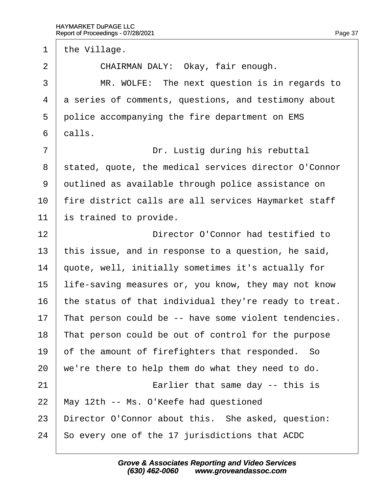<span id="page-37-0"></span>1 the Village.

2 | CHAIRMAN DALY: Okay, fair enough. 3 | MR. WOLFE: The next question is in regards to 4 a series of comments, questions, and testimony about 5 police accompanying the fire department on EMS  $6$  dalls. 7 | Dr. Lustig during his rebuttal 8 stated, quote, the medical services director O'Connor 9 dutlined as available through police assistance on 10 fire district calls are all services Haymarket staff 11 is trained to provide. 12 **I Director O'Connor had testified to** 13 this issue, and in response to a question, he said, 14 guote, well, initially sometimes it's actually for 15 life-saving measures or, you know, they may not know 16 the status of that individual they're ready to treat. 17 That person could be -- have some violent tendencies. 18 That person could be out of control for the purpose 19 b of the amount of firefighters that responded. So 20 we're there to help them do what they need to do.  $21$  **Earlier that same day -- this is** 22 May 12th -- Ms. O'Keefe had questioned 23 Director O'Connor about this. She asked, question: 24 So every one of the 17 jurisdictions that ACDC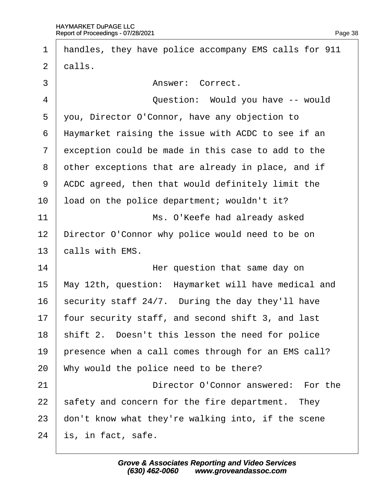<span id="page-38-0"></span>

| 1              | handles, they have police accompany EMS calls for 911 |
|----------------|-------------------------------------------------------|
| $\overline{2}$ | dalls.                                                |
| 3              | Answer: Correct.                                      |
| 4              | Question: Would you have -- would                     |
| 5              | you, Director O'Connor, have any objection to         |
| 6              | Haymarket raising the issue with ACDC to see if an    |
| $\overline{7}$ | exception could be made in this case to add to the    |
| 8              | other exceptions that are already in place, and if    |
| 9              | ACDC agreed, then that would definitely limit the     |
| 10             | load on the police department; wouldn't it?           |
| 11             | Ms. O'Keefe had already asked                         |
| 12             | Director O'Connor why police would need to be on      |
| 13             | calls with EMS.                                       |
| 14             | Her question that same day on                         |
| 15             | May 12th, question: Haymarket will have medical and   |
| 16             | security staff 24/7. During the day they'll have      |
| 17             | four security staff, and second shift 3, and last     |
| 18             | shift 2. Doesn't this lesson the need for police      |
| 19             | presence when a call comes through for an EMS call?   |
| 20             | Why would the police need to be there?                |
| 21             | Director O'Connor answered: For the                   |
| 22             | safety and concern for the fire department. They      |
| 23             | don't know what they're walking into, if the scene    |
| 24             | is, in fact, safe.                                    |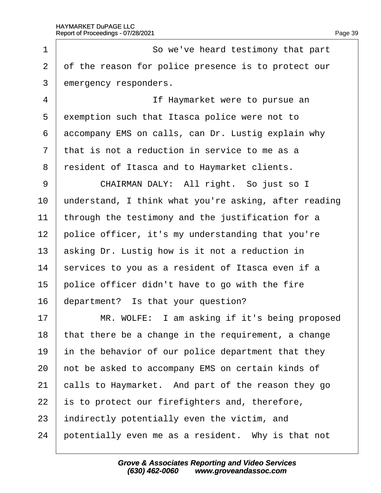<span id="page-39-0"></span>

| 1              | So we've heard testimony that part                    |  |  |
|----------------|-------------------------------------------------------|--|--|
| $\overline{2}$ | of the reason for police presence is to protect our   |  |  |
| 3              | emergency responders.                                 |  |  |
| 4              | If Haymarket were to pursue an                        |  |  |
| 5              | exemption such that Itasca police were not to         |  |  |
| 6              | accompany EMS on calls, can Dr. Lustig explain why    |  |  |
| $\overline{7}$ | that is not a reduction in service to me as a         |  |  |
| 8              | resident of Itasca and to Haymarket clients.          |  |  |
| 9              | CHAIRMAN DALY: All right. So just so I                |  |  |
| 10             | understand, I think what you're asking, after reading |  |  |
| 11             | through the testimony and the justification for a     |  |  |
| 12             | police officer, it's my understanding that you're     |  |  |
| 13             | asking Dr. Lustig how is it not a reduction in        |  |  |
| 14             | services to you as a resident of Itasca even if a     |  |  |
| 15             | police officer didn't have to go with the fire        |  |  |
| 16             | department? Is that your question?                    |  |  |
| 17             | MR. WOLFE: I am asking if it's being proposed         |  |  |
| 18             | that there be a change in the requirement, a change   |  |  |
| 19             | in the behavior of our police department that they    |  |  |
| 20             | hot be asked to accompany EMS on certain kinds of     |  |  |
| 21             | calls to Haymarket. And part of the reason they go    |  |  |
| 22             | s to protect our firefighters and, therefore,         |  |  |
| 23             | indirectly potentially even the victim, and           |  |  |
| 24             | potentially even me as a resident. Why is that not    |  |  |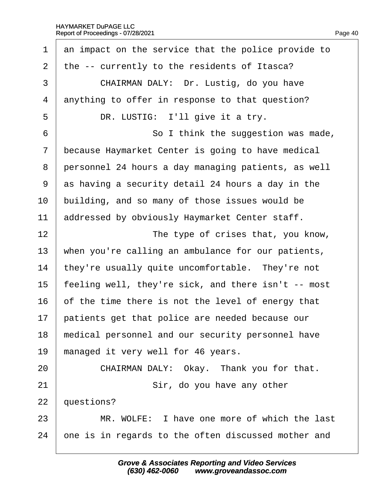<span id="page-40-0"></span>

| $\mathbf 1$    | an impact on the service that the police provide to |
|----------------|-----------------------------------------------------|
| $\overline{2}$ | the -- currently to the residents of Itasca?        |
| 3              | CHAIRMAN DALY: Dr. Lustig, do you have              |
| $\overline{4}$ | anything to offer in response to that question?     |
| 5              | DR. LUSTIG: I'll give it a try.                     |
| 6              | So I think the suggestion was made,                 |
| 7              | because Haymarket Center is going to have medical   |
| 8              | personnel 24 hours a day managing patients, as well |
| 9              | as having a security detail 24 hours a day in the   |
| 10             | building, and so many of those issues would be      |
| 11             | addressed by obviously Haymarket Center staff.      |
| 12             | The type of crises that, you know,                  |
| 13             | when you're calling an ambulance for our patients,  |
| 14             | they're usually quite uncomfortable. They're not    |
| 15             | feeling well, they're sick, and there isn't -- most |
| 16             | of the time there is not the level of energy that   |
| 17             | patients get that police are needed because our     |
| 18             | medical personnel and our security personnel have   |
| 19             | managed it very well for 46 years.                  |
| 20             | CHAIRMAN DALY: Okay. Thank you for that.            |
| 21             | Sir, do you have any other                          |
| 22             | questions?                                          |
| 23             | MR. WOLFE: I have one more of which the last        |
| 24             | one is in regards to the often discussed mother and |
|                |                                                     |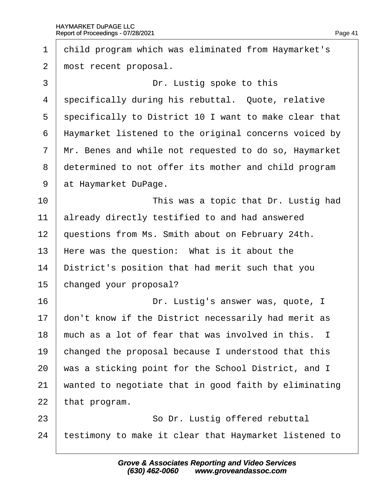<span id="page-41-0"></span>1 child program which was eliminated from Haymarket's 2 most recent proposal. 3 **Dr.** Lustig spoke to this 4 specifically during his rebuttal. Quote, relative 5 specifically to District 10 I want to make clear that 6 Haymarket listened to the original concerns voiced by 7 Mr. Benes and while not requested to do so, Haymarket 8 determined to not offer its mother and child program 9 at Haymarket DuPage. 10 **I** This was a topic that Dr. Lustig had 11 **already directly testified to and had answered** 12 questions from Ms. Smith about on February 24th. 13 Here was the question: What is it about the 14 District's position that had merit such that you 15 changed your proposal? 16 **Dr.** Lustig's answer was, quote, I 17 don't know if the District necessarily had merit as 18 much as a lot of fear that was involved in this. I 19 changed the proposal because I understood that this 20 was a sticking point for the School District, and I 21 wanted to negotiate that in good faith by eliminating 22 that program. 23 **So Dr. Lustig offered rebuttal** 24 testimony to make it clear that Haymarket listened to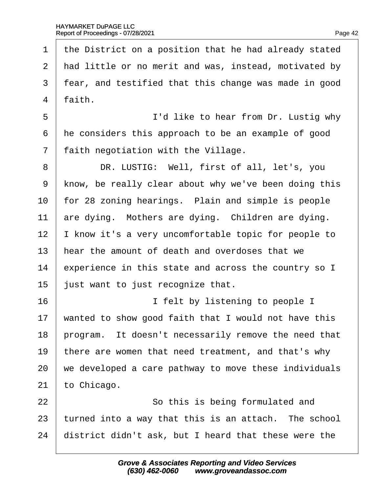<span id="page-42-0"></span>

| 1              | the District on a position that he had already stated |
|----------------|-------------------------------------------------------|
| $\overline{2}$ | had little or no merit and was, instead, motivated by |
| 3              | fear, and testified that this change was made in good |
| 4              | faith.                                                |
| 5              | I'd like to hear from Dr. Lustig why                  |
| 6              | He considers this approach to be an example of good   |
| $\overline{7}$ | faith negotiation with the Village.                   |
| 8              | DR. LUSTIG: Well, first of all, let's, you            |
| 9              | know, be really clear about why we've been doing this |
| 10             | for 28 zoning hearings. Plain and simple is people    |
| 11             | are dying. Mothers are dying. Children are dying.     |
| 12             | know it's a very uncomfortable topic for people to    |
| 13             | hear the amount of death and overdoses that we        |
| 14             | experience in this state and across the country so I  |
| 15             | ust want to just recognize that.                      |
| 16             | I felt by listening to people I                       |
| 17             | wanted to show good faith that I would not have this  |
| 18             | program. It doesn't necessarily remove the need that  |
| 19             | there are women that need treatment, and that's why   |
| 20             | we developed a care pathway to move these individuals |
| 21             | to Chicago.                                           |
| 22             | So this is being formulated and                       |
| 23             | turned into a way that this is an attach. The school  |
| 24             | district didn't ask, but I heard that these were the  |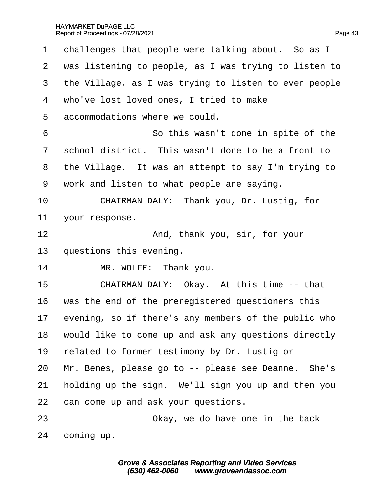<span id="page-43-0"></span>

| $\mathbf 1$    | challenges that people were talking about. So as I    |
|----------------|-------------------------------------------------------|
| $\overline{2}$ | was listening to people, as I was trying to listen to |
| 3              | the Village, as I was trying to listen to even people |
| $\overline{4}$ | who've lost loved ones, I tried to make               |
| 5              | accommodations where we could.                        |
| 6              | So this wasn't done in spite of the                   |
| $\overline{7}$ | school district. This wasn't done to be a front to    |
| 8              | the Village. It was an attempt to say I'm trying to   |
| 9              | work and listen to what people are saying.            |
| 10             | CHAIRMAN DALY: Thank you, Dr. Lustig, for             |
| 11             | your response.                                        |
| 12             | And, thank you, sir, for your                         |
| 13             | questions this evening.                               |
| 14             | MR. WOLFE: Thank you.                                 |
| 15             | CHAIRMAN DALY: Okay. At this time -- that             |
| 16             | was the end of the preregistered questioners this     |
| 17             | evening, so if there's any members of the public who  |
| 18             | would like to come up and ask any questions directly  |
| 19             | related to former testimony by Dr. Lustig or          |
| 20             | Mr. Benes, please go to -- please see Deanne. She's   |
| 21             | holding up the sign. We'll sign you up and then you   |
| 22             | can come up and ask your questions.                   |
| 23             | Okay, we do have one in the back                      |
| 24             | coming up.                                            |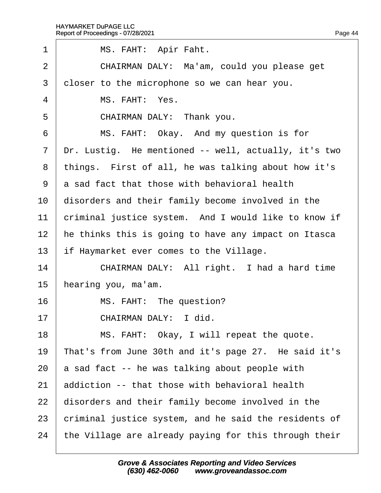<span id="page-44-0"></span>

| 1              | MS. FAHT: Apir Faht.                                  |
|----------------|-------------------------------------------------------|
| 2              | CHAIRMAN DALY: Ma'am, could you please get            |
| 3              | doser to the microphone so we can hear you.           |
| $\overline{4}$ | MS. FAHT: Yes.                                        |
| 5              | CHAIRMAN DALY: Thank you.                             |
| 6              | MS. FAHT: Okay. And my question is for                |
| $\overline{7}$ | Dr. Lustig. He mentioned -- well, actually, it's two  |
| 8              | things. First of all, he was talking about how it's   |
| 9              | a sad fact that those with behavioral health          |
| 10             | disorders and their family become involved in the     |
| 11             | criminal justice system. And I would like to know if  |
| 12             | he thinks this is going to have any impact on Itasca  |
| 13             | if Haymarket ever comes to the Village.               |
| 14             | CHAIRMAN DALY: All right. I had a hard time           |
| 15             | hearing you, ma'am.                                   |
| 16             | MS. FAHT: The question?                               |
| 17             | CHAIRMAN DALY: I did.                                 |
| 18             | MS. FAHT: Okay, I will repeat the quote.              |
| 19             | That's from June 30th and it's page 27. He said it's  |
| 20             | a sad fact -- he was talking about people with        |
| 21             | addiction -- that those with behavioral health        |
| 22             | disorders and their family become involved in the     |
| 23             | criminal justice system, and he said the residents of |
| 24             | the Village are already paying for this through their |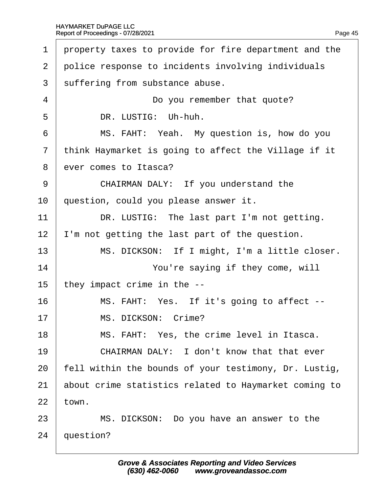<span id="page-45-0"></span>

| 1              | property taxes to provide for fire department and the |
|----------------|-------------------------------------------------------|
| 2              | police response to incidents involving individuals    |
| 3              | suffering from substance abuse.                       |
| $\overline{4}$ | Do you remember that quote?                           |
| 5              | DR. LUSTIG: Uh-huh.                                   |
| 6              | MS. FAHT: Yeah. My question is, how do you            |
| 7              | think Haymarket is going to affect the Village if it  |
| 8              | ever comes to Itasca?                                 |
| 9              | CHAIRMAN DALY: If you understand the                  |
| 10             | question, could you please answer it.                 |
| 11             | DR. LUSTIG: The last part I'm not getting.            |
| 12             | 'm not getting the last part of the question.         |
| 13             | MS. DICKSON: If I might, I'm a little closer.         |
| 14             | You're saying if they come, will                      |
| 15             | they impact crime in the --                           |
| 16             | MS. FAHT: Yes. If it's going to affect --             |
| 17             | MS. DICKSON: Crime?                                   |
| 18             | MS. FAHT: Yes, the crime level in Itasca.             |
| 19             | CHAIRMAN DALY: I don't know that that ever            |
| 20             | fell within the bounds of your testimony, Dr. Lustig, |
| 21             | about crime statistics related to Haymarket coming to |
| 22             | town.                                                 |
| 23             | MS. DICKSON: Do you have an answer to the             |
| 24             | question?                                             |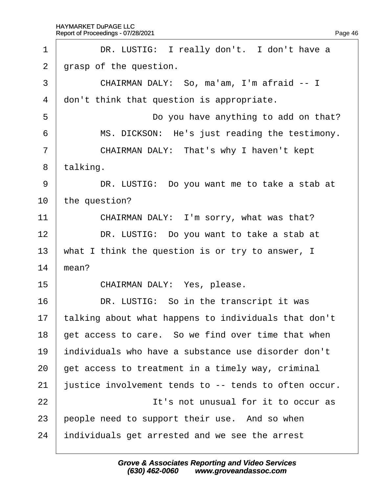<span id="page-46-0"></span>

| 1              | DR. LUSTIG: I really don't. I don't have a           |
|----------------|------------------------------------------------------|
| $\overline{2}$ | grasp of the question.                               |
| 3              | CHAIRMAN DALY: So, ma'am, I'm afraid -- I            |
| 4              | don't think that question is appropriate.            |
| 5              | Do you have anything to add on that?                 |
| 6              | MS. DICKSON: He's just reading the testimony.        |
| $\overline{7}$ | CHAIRMAN DALY: That's why I haven't kept             |
| 8              | talking.                                             |
| 9              | DR. LUSTIG: Do you want me to take a stab at         |
| 10             | the question?                                        |
| 11             | CHAIRMAN DALY: I'm sorry, what was that?             |
| 12             | DR. LUSTIG: Do you want to take a stab at            |
| 13             | what I think the question is or try to answer, I     |
| 14             | mean?                                                |
| 15             | CHAIRMAN DALY: Yes, please.                          |
| 16             | DR. LUSTIG: So in the transcript it was              |
| 17             | talking about what happens to individuals that don't |
| 18             | get access to care. So we find over time that when   |
| 19             | individuals who have a substance use disorder don't  |
| 20             | get access to treatment in a timely way, criminal    |
| 21             | ustice involvement tends to -- tends to often occur. |
| 22             | It's not unusual for it to occur as                  |
| 23             | people need to support their use. And so when        |
| 24             | individuals get arrested and we see the arrest       |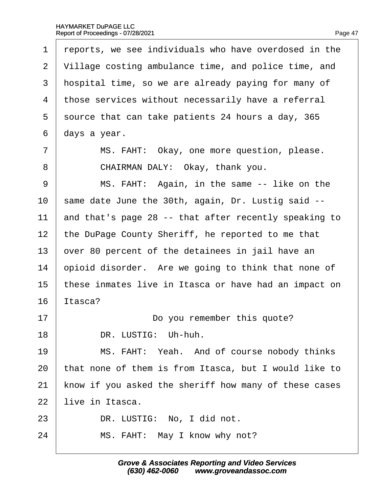|  | Page 47 |
|--|---------|
|  |         |

<span id="page-47-0"></span>

| 1              | reports, we see individuals who have overdosed in the |
|----------------|-------------------------------------------------------|
| $\overline{2}$ | Village costing ambulance time, and police time, and  |
| 3              | hospital time, so we are already paying for many of   |
| 4              | those services without necessarily have a referral    |
| 5              | source that can take patients 24 hours a day, 365     |
| 6              | days a year.                                          |
| $\overline{7}$ | MS. FAHT: Okay, one more question, please.            |
| 8              | CHAIRMAN DALY: Okay, thank you.                       |
| 9              | MS. FAHT: Again, in the same -- like on the           |
| 10             | same date June the 30th, again, Dr. Lustig said --    |
| 11             | and that's page 28 -- that after recently speaking to |
| 12             | the DuPage County Sheriff, he reported to me that     |
| 13             | over 80 percent of the detainees in jail have an      |
| 14             | ppioid disorder. Are we going to think that none of   |
| 15             | these inmates live in Itasca or have had an impact on |
| 16             | tasca?                                                |
| 17             | Do you remember this quote?                           |
| 18             | DR. LUSTIG: Uh-huh.                                   |
| 19             | MS. FAHT: Yeah. And of course nobody thinks           |
| 20             | that none of them is from Itasca, but I would like to |
| 21             | know if you asked the sheriff how many of these cases |
| 22             | live in Itasca.                                       |
| 23             | DR. LUSTIG: No, I did not.                            |
| 24             | MS. FAHT: May I know why not?                         |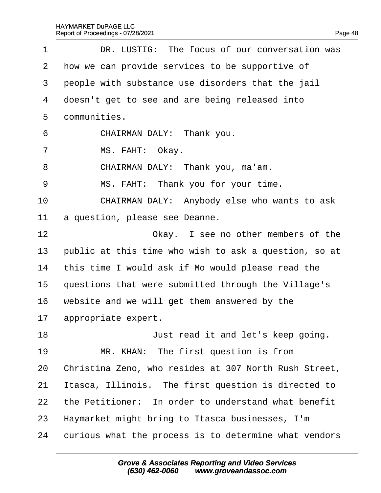<span id="page-48-0"></span>

| 1              | DR. LUSTIG: The focus of our conversation was         |
|----------------|-------------------------------------------------------|
| 2              | how we can provide services to be supportive of       |
| 3              | people with substance use disorders that the jail     |
| 4              | doesn't get to see and are being released into        |
| 5              | dommunities.                                          |
| 6              | CHAIRMAN DALY: Thank you.                             |
| $\overline{7}$ | MS. FAHT: Okay.                                       |
| 8              | CHAIRMAN DALY: Thank you, ma'am.                      |
| 9              | MS. FAHT: Thank you for your time.                    |
| 10             | CHAIRMAN DALY: Anybody else who wants to ask          |
| 11             | a question, please see Deanne.                        |
| 12             | Okay. I see no other members of the                   |
| 13             | public at this time who wish to ask a question, so at |
| 14             | this time I would ask if Mo would please read the     |
| 15             | questions that were submitted through the Village's   |
| 16             | website and we will get them answered by the          |
| 17             | appropriate expert.                                   |
| 18             | Just read it and let's keep going.                    |
| 19             | MR. KHAN: The first question is from                  |
| 20             | Christina Zeno, who resides at 307 North Rush Street, |
| 21             | tasca, Illinois. The first question is directed to    |
| 22             | the Petitioner: In order to understand what benefit   |
| 23             | Haymarket might bring to Itasca businesses, I'm       |
| 24             | curious what the process is to determine what vendors |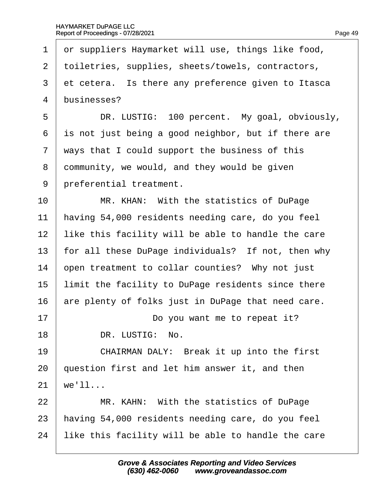Page 49

<span id="page-49-0"></span>1 or suppliers Haymarket will use, things like food, 2 toiletries, supplies, sheets/towels, contractors, 3 et cetera. Is there any preference given to Itasca 4 businesses? 5 | DR. LUSTIG: 100 percent. My goal, obviously, 6 is not just being a good neighbor, but if there are 7 ways that I could support the business of this 8 dommunity, we would, and they would be given 9 *preferential treatment.* 10 | MR. KHAN: With the statistics of DuPage 11 having 54,000 residents needing care, do you feel 12 like this facility will be able to handle the care 13 for all these DuPage individuals? If not, then why 14 bpen treatment to collar counties? Why not just 15 limit the facility to DuPage residents since there 16 are plenty of folks just in DuPage that need care. 17  $\parallel$  Do you want me to repeat it? 18 | DR. LUSTIG: No. 19 | CHAIRMAN DALY: Break it up into the first 20 guestion first and let him answer it, and then  $21$  we'll... 22 | MR. KAHN: With the statistics of DuPage 23 having 54,000 residents needing care, do you feel 24 like this facility will be able to handle the care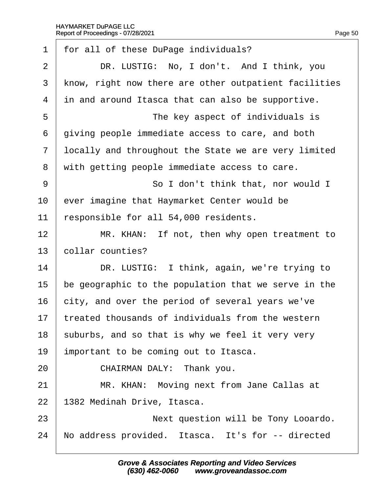<span id="page-50-0"></span>

| $\mathbf 1$    | for all of these DuPage individuals?                  |
|----------------|-------------------------------------------------------|
| $\overline{2}$ | DR. LUSTIG: No, I don't. And I think, you             |
| 3              | know, right now there are other outpatient facilities |
| $\overline{4}$ | in and around Itasca that can also be supportive.     |
| 5              | The key aspect of individuals is                      |
| 6              | giving people immediate access to care, and both      |
| $\overline{7}$ | Ipcally and throughout the State we are very limited  |
| 8              | with getting people immediate access to care.         |
| 9              | So I don't think that, nor would I                    |
| 10             | ever imagine that Haymarket Center would be           |
| 11             | responsible for all 54,000 residents.                 |
| 12             | MR. KHAN: If not, then why open treatment to          |
| 13             | collar counties?                                      |
| 14             | DR. LUSTIG: I think, again, we're trying to           |
| 15             | be geographic to the population that we serve in the  |
| 16             | city, and over the period of several years we've      |
| 17             | treated thousands of individuals from the western     |
| 18             | suburbs, and so that is why we feel it very very      |
| 19             | important to be coming out to Itasca.                 |
| 20             | CHAIRMAN DALY: Thank you.                             |
| 21             | MR. KHAN: Moving next from Jane Callas at             |
| 22             | 1382 Medinah Drive, Itasca.                           |
| 23             | Next question will be Tony Looardo.                   |
| 24             | No address provided. Itasca. It's for -- directed     |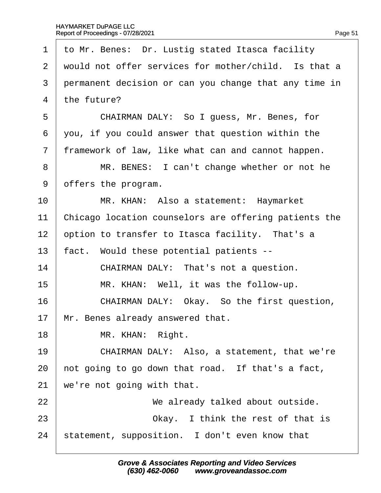<span id="page-51-0"></span>

| 1              | to Mr. Benes: Dr. Lustig stated Itasca facility       |
|----------------|-------------------------------------------------------|
| $\overline{2}$ | would not offer services for mother/child. Is that a  |
| 3              | permanent decision or can you change that any time in |
| 4              | the future?                                           |
| 5              | CHAIRMAN DALY: So I guess, Mr. Benes, for             |
| 6              | you, if you could answer that question within the     |
| $\overline{7}$ | framework of law, like what can and cannot happen.    |
| 8              | MR. BENES: I can't change whether or not he           |
| 9              | offers the program.                                   |
| 10             | MR. KHAN: Also a statement: Haymarket                 |
| 11             | Chicago location counselors are offering patients the |
| 12             | option to transfer to Itasca facility. That's a       |
| 13             | fact. Would these potential patients --               |
| 14             | CHAIRMAN DALY: That's not a question.                 |
| 15             | MR. KHAN: Well, it was the follow-up.                 |
| 16             | CHAIRMAN DALY: Okay. So the first question,           |
| 17             | Mr. Benes already answered that.                      |
| 18             | MR. KHAN: Right.                                      |
| 19             | CHAIRMAN DALY: Also, a statement, that we're          |
| 20             | hot going to go down that road. If that's a fact,     |
| 21             | we're not going with that.                            |
| 22             | We already talked about outside.                      |
| 23             | Okay. I think the rest of that is                     |
| 24             | statement, supposition. I don't even know that        |
|                |                                                       |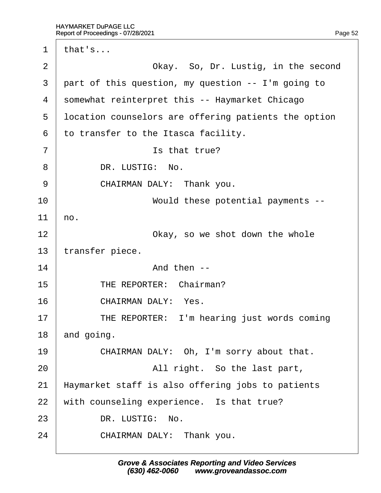<span id="page-52-0"></span>

| that's                                               |
|------------------------------------------------------|
| Okay. So, Dr. Lustig, in the second                  |
| part of this question, my question -- I'm going to   |
| somewhat reinterpret this -- Haymarket Chicago       |
| Ipcation counselors are offering patients the option |
| to transfer to the Itasca facility.                  |
| Is that true?                                        |
| DR. LUSTIG: No.                                      |
| CHAIRMAN DALY: Thank you.                            |
| Would these potential payments --                    |
| ho.                                                  |
| Okay, so we shot down the whole                      |
| transfer piece.                                      |
| And then --                                          |
| THE REPORTER: Chairman?                              |
| CHAIRMAN DALY: Yes.                                  |
| THE REPORTER: I'm hearing just words coming          |
| and going.                                           |
| CHAIRMAN DALY: Oh, I'm sorry about that.             |
| All right. So the last part,                         |
| Haymarket staff is also offering jobs to patients    |
| with counseling experience. Is that true?            |
| DR. LUSTIG: No.                                      |
| CHAIRMAN DALY: Thank you.                            |
|                                                      |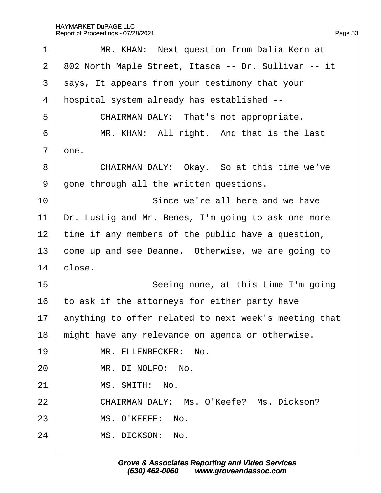<span id="page-53-0"></span>

| 1              | MR. KHAN: Next question from Dalia Kern at            |
|----------------|-------------------------------------------------------|
| $\overline{2}$ | 802 North Maple Street, Itasca -- Dr. Sullivan -- it  |
| 3              | says, It appears from your testimony that your        |
| 4              | hospital system already has established --            |
| 5              | CHAIRMAN DALY: That's not appropriate.                |
| 6              | MR. KHAN: All right. And that is the last             |
| 7              | dne.                                                  |
| 8              | CHAIRMAN DALY: Okay. So at this time we've            |
| 9              | gone through all the written questions.               |
| 10             | Since we're all here and we have                      |
| 11             | Dr. Lustig and Mr. Benes, I'm going to ask one more   |
| 12             | time if any members of the public have a question,    |
| 13             | come up and see Deanne. Otherwise, we are going to    |
| 14             | close.                                                |
| 15             | Seeing none, at this time I'm going                   |
| 16             | to ask if the attorneys for either party have         |
| 17             | anything to offer related to next week's meeting that |
| 18             | might have any relevance on agenda or otherwise.      |
| 19             | MR. ELLENBECKER: No.                                  |
| 20             | MR. DI NOLFO: No.                                     |
| 21             | MS. SMITH: No.                                        |
| 22             | CHAIRMAN DALY: Ms. O'Keefe? Ms. Dickson?              |
| 23             | MS. O'KEEFE: No.                                      |
| 24             | MS. DICKSON: No.                                      |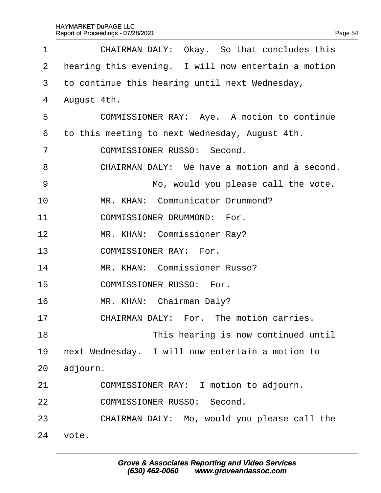|  | Page 54 |
|--|---------|

<span id="page-54-0"></span>

| 1              | CHAIRMAN DALY: Okay. So that concludes this         |  |  |  |
|----------------|-----------------------------------------------------|--|--|--|
| $\overline{2}$ | hearing this evening. I will now entertain a motion |  |  |  |
| 3              | to continue this hearing until next Wednesday,      |  |  |  |
| 4              | August 4th.                                         |  |  |  |
| 5              | <b>COMMISSIONER RAY: Aye. A motion to continue</b>  |  |  |  |
| 6              | to this meeting to next Wednesday, August 4th.      |  |  |  |
| 7              | <b>COMMISSIONER RUSSO: Second.</b>                  |  |  |  |
| 8              | CHAIRMAN DALY: We have a motion and a second.       |  |  |  |
| 9              | Mo, would you please call the vote.                 |  |  |  |
| 10             | MR. KHAN: Communicator Drummond?                    |  |  |  |
| 11             | <b>COMMISSIONER DRUMMOND: For.</b>                  |  |  |  |
| 12             | MR. KHAN: Commissioner Ray?                         |  |  |  |
| 13             | <b>COMMISSIONER RAY: For.</b>                       |  |  |  |
| 14             | MR. KHAN: Commissioner Russo?                       |  |  |  |
| 15             | <b>COMMISSIONER RUSSO: For.</b>                     |  |  |  |
| 16             | MR. KHAN: Chairman Daly?                            |  |  |  |
| 17             | <b>CHAIRMAN DALY: For. The motion carries.</b>      |  |  |  |
| 18             | This hearing is now continued until                 |  |  |  |
| 19             | hext Wednesday. I will now entertain a motion to    |  |  |  |
| 20             | adjourn.                                            |  |  |  |
| 21             | COMMISSIONER RAY: I motion to adjourn.              |  |  |  |
| 22             | <b>COMMISSIONER RUSSO: Second.</b>                  |  |  |  |
| 23             | CHAIRMAN DALY: Mo, would you please call the        |  |  |  |
| 24             | vote.                                               |  |  |  |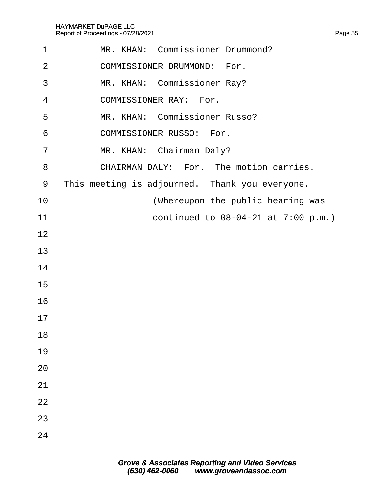<span id="page-55-0"></span>

| 1              | MR. KHAN: Commissioner Drummond?               |
|----------------|------------------------------------------------|
| 2              | <b>COMMISSIONER DRUMMOND: For.</b>             |
| 3              | MR. KHAN: Commissioner Ray?                    |
| 4              | <b>COMMISSIONER RAY: For.</b>                  |
| 5              | MR. KHAN: Commissioner Russo?                  |
| 6              | <b>COMMISSIONER RUSSO: For.</b>                |
| $\overline{7}$ | MR. KHAN: Chairman Daly?                       |
| 8              | <b>CHAIRMAN DALY: For. The motion carries.</b> |
| 9              | This meeting is adjourned. Thank you everyone. |
| 10             | (Whereupon the public hearing was              |
| 11             | continued to 08-04-21 at 7:00 p.m.)            |
| 12             |                                                |
| 13             |                                                |
| 14             |                                                |
| 15             |                                                |
| 16             |                                                |
| 17             |                                                |
| 18             |                                                |
| 19             |                                                |
| 20             |                                                |
| 21             |                                                |
| 22             |                                                |
| 23             |                                                |
| 24             |                                                |
|                |                                                |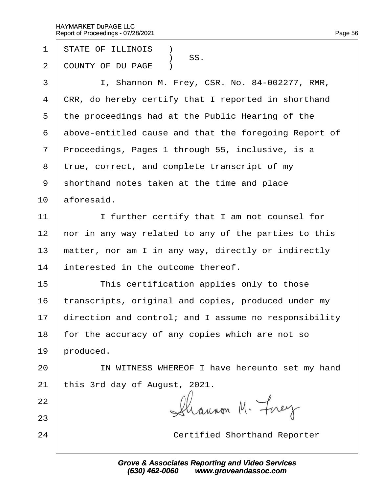- 1 STATE OF ILLINOIS **1**
- SS.<br>2 COUNTY OF DU I COUNTY OF DU PAGE )
- 3 | I, Shannon M. Frey, CSR. No. 84-002277, RMR,
- 4 CRR, do hereby certify that I reported in shorthand
- 5 the proceedings had at the Public Hearing of the
- 6 above-entitled cause and that the foregoing Report of
- 7 Proceedings, Pages 1 through 55, inclusive, is a
- 8 true, correct, and complete transcript of my
- ·9· ·shorthand notes taken at the time and place
- $10$  aforesaid.
- 11 | I further certify that I am not counsel for
- 12 hor in any way related to any of the parties to this
- 13 matter, nor am I in any way, directly or indirectly
- 14 interested in the outcome thereof.
- $15$   $\parallel$  This certification applies only to those
- 16 transcripts, original and copies, produced under my
- 17 direction and control; and I assume no responsibility
- 18 for the accuracy of any copies which are not so
- 19 broduced.
- 20 | IN WITNESS WHEREOF I have hereunto set my hand
- 21 this 3rd day of August, 2021.
- 22
- 23
- 

24 **Certified Shorthand Reporter**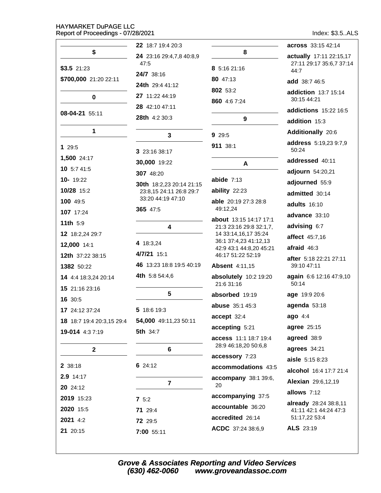Index: \$3.5..ALS

|                                              | 22 18:7 19:4 20:3             |                                                   | <b>across</b> 33:15 42:14              |
|----------------------------------------------|-------------------------------|---------------------------------------------------|----------------------------------------|
| \$                                           | 24 23:16 29:4,7,8 40:8,9      | 8                                                 | actually 17:11 22:15,17                |
| $$3.5$ 21:23                                 | 47:5                          | 8 5:16 21:16                                      | 27:11 29:17 35:6,7 37:14<br>44:7       |
| \$700,000 21:20 22:11                        | 24/7 38:16<br>24th 29:4 41:12 | 80 47:13                                          | add 38:7 46:5                          |
| $\pmb{0}$                                    | 27 11:22 44:19                | 802 53:2                                          | addiction 13:7 15:14                   |
|                                              | 28 42:10 47:11                | 860 4:6 7:24                                      | 30:15 44:21                            |
| 08-04-21 55:11                               | 28th 4:2 30:3                 | 9                                                 | addictions 15:22 16:5                  |
| 1                                            |                               |                                                   | addition 15:3                          |
|                                              | 3                             | 9 29:5                                            | Additionally 20:6                      |
| 129:5                                        | 3 23:16 38:17                 | 911 38:1                                          | address 5:19,23 9:7,9<br>50:24         |
| 1,500 24:17                                  | 30,000 19:22                  | A                                                 | addressed 40:11                        |
| 10 5:7 41:5                                  | 307 48:20                     |                                                   | adjourn 54:20,21                       |
| 10- $19:22$                                  | 30th 18:2,23 20:14 21:15      | abide $7:13$                                      | adjourned 55:9                         |
| 10/28 15:2                                   | 23:8,15 24:11 26:8 29:7       | ability 22:23                                     | admitted 30:14                         |
| 100 49:5                                     | 33:20 44:19 47:10             | able 20:19 27:3 28:8                              | adults 16:10                           |
| 107 17:24                                    | <b>365</b> 47:5               | 49:12,24                                          | advance 33:10                          |
| 11th 5:9                                     | 4                             | about 13:15 14:17 17:1<br>21:3 23:16 29:8 32:1,7, | advising 6:7                           |
| 12 18:2,24 29:7                              |                               | 14 33:14,16,17 35:24                              | affect 45:7,16                         |
| 12,000 14:1                                  | 4 18:3,24                     | 36:1 37:4,23 41:12,13<br>42:9 43:1 44:8,20 45:21  | afraid 46:3                            |
| 12th 37:22 38:15                             | 4/7/21 15:1                   | 46:17 51:22 52:19                                 | after 5:18 22:21 27:11                 |
| 1382 50:22                                   | 46 13:23 18:8 19:5 40:19      | <b>Absent 4:11,15</b>                             | 39:10 47:11                            |
| 14 4:4 18:3,24 20:14                         | 4th 5:8 54:4,6                | absolutely 10:2 19:20<br>21:6 31:16               | again 6:6 12:16 47:9,10<br>50:14       |
| 15 21:16 23:16<br>16 30:5                    | 5                             | absorbed 19:19                                    | age 19:9 20:6                          |
|                                              | 5 18:6 19:3                   | <b>abuse</b> 35:1 45:3                            | agenda 53:18                           |
| 17 24:12 37:24                               | 54,000 49:11,23 50:11         | accept 32:4                                       | ago $4:4$                              |
| 18 18:7 19:4 20:3,15 29:4<br>19-014 4:3 7:19 | <b>5th 34:7</b>               | accepting 5:21                                    | <b>agree</b> 25:15                     |
|                                              |                               | access 11:1 18:7 19:4                             | agreed 38:9                            |
| $\mathbf{2}$                                 | 6                             | 28:9 46:18,20 50:6,8                              | agrees 34:21                           |
|                                              |                               | accessory 7:23                                    | aisle 5:15 8:23                        |
| 2 38:18                                      | 6 24:12                       | accommodations 43:5                               | alcohol 16:4 17:7 21:4                 |
| 2.9 14:17                                    | 7                             | accompany 38:1 39:6,<br>20                        | Alexian 29:6,12,19                     |
| 20 24:12                                     |                               | accompanying 37:5                                 | allows 7:12                            |
| 2019 15:23                                   | 75:2                          | accountable 36:20                                 | already 28:24 38:8,11                  |
| 2020 15:5                                    | <b>71</b> 29:4                | accredited 26:14                                  | 41:11 42:1 44:24 47:3<br>51:17,22 53:4 |
| 2021 4:2                                     | 72 29:5                       | ACDC 37:24 38:6,9                                 | <b>ALS</b> 23:19                       |
| 21 20:15                                     | 7:00 55:11                    |                                                   |                                        |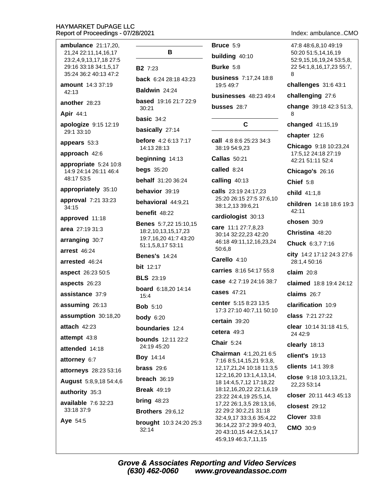| ambulance 21:17,20,<br>21,24 22:11,14,16,17<br>23:2,4,9,13,17,18 27:5<br>29:16 33:18 34:1,5,17<br>35:24 36:2 40:13 47:2 |
|-------------------------------------------------------------------------------------------------------------------------|
| amount 14:3 37:19<br>42:13                                                                                              |
| another 28:23                                                                                                           |
| Apir 44:1                                                                                                               |
| apologize 9:15 12:19<br>29:1 33:10                                                                                      |
| appears 53:3                                                                                                            |
| approach 42:6                                                                                                           |
| appropriate 5:24 10:8<br>14:9 24:14 26:11 46:4<br>48:17 53:5                                                            |
| appropriately 35:10                                                                                                     |
| approval 7:21 33:23<br>34:15                                                                                            |
| approved 11:18                                                                                                          |
| area 27:19 31:3                                                                                                         |
| arranging 30:7                                                                                                          |
| <b>arrest 46:24</b>                                                                                                     |
| arrested 46:24                                                                                                          |
| aspect 26:23 50:5                                                                                                       |
| aspects 26:23                                                                                                           |
| assistance 37:9                                                                                                         |
| assuming 26:13                                                                                                          |
| assumption 30:18,20                                                                                                     |
| attach 42:23                                                                                                            |
| attempt 43:8                                                                                                            |
| attended 14:18                                                                                                          |
| attorney 6:7                                                                                                            |
| attorneys 28:23 53:16                                                                                                   |
| August 5:8,9,18 54:4,6                                                                                                  |
| authority 35:3                                                                                                          |
| available 7:6 32:23<br>33:18 37:9                                                                                       |
| <b>Aye 54:5</b>                                                                                                         |

#### В **B2** 7:23 back 6:24 28:18 43:23 Baldwin 24:24 **based** 19:16 21:7 22:9  $30:21$ basic  $34:2$ basically 27:14 before 4:2 6:13 7:17 14:13 28:13 beginning  $14:13$ **begs** 35:20 **behalf** 31:20 36:24 behavior 39:19 behavioral 44:9,21 benefit 48:22 **Benes** 5:7.22 15:10.15 18:2,10,13,15,17,23 19:7,16,20 41:7 43:20 51:1,5,8,17 53:11 **Benes's 14:24 bit** 12:17 **BLS** 23:19 **board** 6:18,20 14:14  $15:4$ **Bob** 5:10 **body** 6:20 boundaries 12:4 **bounds** 12:11 22:2 24:19 45:20 **Boy 14:14** brass  $29:6$ breach  $36:19$ **Break 49:19** bring  $48:23$ **Brothers** 29:6,12 **brought** 10:3 24:20 25:3

 $32:14$ 

**Burke** 5:8 **business** 7:17,24 18:8 19:5 49:7 **businesses** 48:23 49:4 busses 28:7 C call 4:8 8:6 25:23 34:3 38:19 54:9,23 **Callas** 50:21 called 8:24 calling 40:13 calls 23:19 24:17,23 25:20 26:15 27:5 37:6,10 38:1,2,13 39:6,21 cardiologist 30:13 care 11:1 27:7,8,23 30:14 32:22,23 42:20 46:18 49:11,12,16,23,24 50:6.8 Carello 4:10 carries 8:16 54:17 55:8 case 4:2 7:19 24:16 38:7 cases 47:21 center 5:15 8:23 13:5 17:3 27:10 40:7,11 50:10 certain 39:20 cetera 49:3 Chair  $5:24$ Chairman 4:1,20,21 6:5 7:16 8:5,14,15,21 9:3,8, 12, 17, 21, 24 10: 18 11: 3, 5 12:2,16,20 13:1,4,13,14, 18 14:4,5,7,12 17:18,22 18:12,16,20,22 22:1,6,19 23:22 24:4,19 25:5,14, 17,22 26:1,3,5 28:13,16, 22 29:2 30:2,21 31:18 32:4,9,17 33:3,6 35:4,22 36:14,22 37:2 39:9 40:3, 20 43:10,15 44:2,5,14,17

Bruce 5:9

building 40:10

Index: ambulance..CMO

47:8 48:6,8,10 49:19 50:20 51:5.14.16.19 52:9,15,16,19,24 53:5,8, 22 54:1,8,16,17,23 55:7, R challenges 31:6 43:1 challenging 27:6 change 39:18 42:3 51:3, 8 changed 41:15,19 chapter 12:6 Chicago 9:18 10:23,24 17:5,12 24:18 27:19 42:21 51:11 52:4 Chicago's 26:16 Chief 5:8 child 41:1.8 children 14:18 18:6 19:3 42:11 chosen 30:9 Christina 48:20 Chuck 6:3,77:16 city 14:2 17:12 24:3 27:6 28:1,4 50:16 claim  $20:8$ claimed 18:8 19:4 24:12 claims 26:7 clarification 10:9 class 7:21 27:22 clear 10:14 31:18 41:5, 24 42:9 clearly 18:13 client's 19:13 clients 14:1 39:8 close 9:18 10:3,13,21, 22.23 53:14 closer 20:11 44:3 45:13 closest 29:12 Clover 33:8 CMO 30:9

**Grove & Associates Reporting and Video Services** (630) 462-0060 www.groveandassoc.com

45:9,19 46:3,7,11,15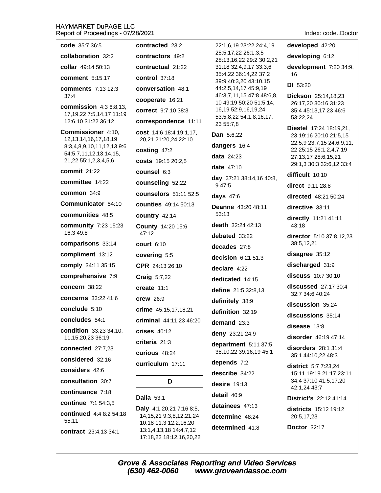| code 35:7 36:5                                                  | contracted 23:2                                                                                                                          | 22:1,6,19 23:22 24:4,19                                     | developed 42:20                                                                  |  |
|-----------------------------------------------------------------|------------------------------------------------------------------------------------------------------------------------------------------|-------------------------------------------------------------|----------------------------------------------------------------------------------|--|
| collaboration 32:2                                              | contractors 49:2                                                                                                                         | 25:5,17,22 26:1,3,5<br>28:13,16,22 29:2 30:2,21             | developing 6:12                                                                  |  |
| collar 49:14 50:13                                              | contractual 21:22                                                                                                                        | 31:18 32:4,9,17 33:3,6                                      | development 7:20 34:9,                                                           |  |
| comment 5:15,17                                                 | control 37:18                                                                                                                            | 35:4,22 36:14,22 37:2<br>39:9 40:3,20 43:10,15              | 16                                                                               |  |
| <b>comments</b> 7:13 12:3                                       | conversation 48:1                                                                                                                        | 44:2,5,14,17 45:9,19                                        | <b>DI</b> 53:20                                                                  |  |
| 37:4                                                            | cooperate 16:21                                                                                                                          | 46:3,7,11,15 47:8 48:6,8,<br>10 49:19 50:20 51:5,14,        | Dickson 25:14,18,23<br>26:17,20 30:16 31:23<br>35:4 45:13,17,23 46:6<br>53:22,24 |  |
| <b>commission</b> 4:3 6:8,13,<br>17, 19, 22 7: 5, 14, 17 11: 19 | correct 9:7,10 38:3                                                                                                                      | 16,19 52:9,16,19,24<br>53:5,8,22 54:1,8,16,17,<br>23 55:7,8 |                                                                                  |  |
| 12:6,10 31:22 36:12                                             | correspondence 11:11                                                                                                                     |                                                             |                                                                                  |  |
| <b>Commissioner</b> 4:10,                                       | <b>cost</b> 14:6 18:4 19:1,17,                                                                                                           | <b>Dan</b> 5:6,22                                           | Diestel 17:24 18:19,21,<br>23 19:16 20:10 21:5,15                                |  |
| 12, 13, 14, 16, 17, 18, 19<br>8:3,4,8,9,10,11,12,139:6          | 20,21 21:20,24 22:10                                                                                                                     | dangers 16:4                                                | 22:5,9 23:7,15 24:6,9,11,                                                        |  |
| 54:5,7,11,12,13,14,15,                                          | costing 47:2                                                                                                                             | <b>data</b> 24:23                                           | 22 25:15 26:1,2,4,7,19<br>27:13,17 28:6,15,21                                    |  |
| 21,22 55:1,2,3,4,5,6                                            | costs 19:15 20:2,5                                                                                                                       | <b>date</b> 47:10                                           | 29:1,3 30:3 32:6,12 33:4                                                         |  |
| <b>commit 21:22</b>                                             | counsel 6:3                                                                                                                              | day 37:21 38:14,16 40:8,                                    | difficult 10:10                                                                  |  |
| committee 14:22                                                 | counseling 52:22                                                                                                                         | 9 47:5                                                      | <b>direct</b> 9:11 28:8                                                          |  |
| common 34:9                                                     | counselors 51:11 52:5                                                                                                                    | days 47:6                                                   | directed 48:21 50:24                                                             |  |
| Communicator 54:10                                              | <b>counties</b> 49:14 50:13                                                                                                              | Deanne 43:20 48:11                                          | directive 33:11                                                                  |  |
| communities 48:5                                                | country 42:14                                                                                                                            | 53:13                                                       | directly 11:21 41:11                                                             |  |
| community 7:23 15:23<br>16:3 49:8                               | death 32:24 42:13<br><b>County 14:20 15:6</b><br>47:12<br>debated 33:22<br><b>court</b> 6:10                                             |                                                             | 43:18                                                                            |  |
| comparisons 33:14                                               |                                                                                                                                          | decades 27:8                                                | director 5:10 37:8,12,23<br>38:5,12,21                                           |  |
| compliment 13:12                                                | covering 5:5                                                                                                                             | decision $6:2151:3$                                         | disagree 35:12                                                                   |  |
| comply 34:11 35:15                                              | CPR 24:13 26:10                                                                                                                          | declare 4:22                                                | discharged 31:9                                                                  |  |
| comprehensive 7:9                                               | <b>Craig 5:7,22</b>                                                                                                                      | dedicated 14:15                                             | discuss 10:7 30:10                                                               |  |
| concern 38:22                                                   | create 11:1                                                                                                                              | define 21:5 32:8,13                                         | discussed 27:17 30:4                                                             |  |
| <b>concerns</b> 33:22 41:6                                      | crew 26:9                                                                                                                                | definitely 38:9                                             | 32:7 34:6 40:24                                                                  |  |
| conclude 5:10                                                   | crime 45:15,17,18,21                                                                                                                     | definition 32:19                                            | discussion 35:24                                                                 |  |
| concludes 54:1                                                  | criminal $44:11,2346:20$                                                                                                                 | demand 23:3                                                 | discussions 35:14                                                                |  |
| condition 33:23 34:10,                                          | $crises$ 40:12                                                                                                                           | deny 23:21 24:9                                             | disease 13:8                                                                     |  |
| 11, 15, 20, 23 36: 19                                           | criteria 21:3                                                                                                                            | department 5:11 37:5                                        | disorder 46:19 47:14                                                             |  |
| connected 27:7,23                                               | curious 48:24                                                                                                                            | 38:10,22 39:16,19 45:1                                      | disorders 28:1 31:4<br>35:1 44:10,22 48:3                                        |  |
| considered 32:16                                                | curriculum 17:11                                                                                                                         | depends 7:2                                                 | district 5:7 7:23,24                                                             |  |
| considers 42:6                                                  |                                                                                                                                          | describe 34:22                                              | 15:11 19:19 21:17 23:11                                                          |  |
| consultation 30:7                                               | D                                                                                                                                        | desire $19:13$                                              | 34:4 37:10 41:5,17,20<br>42:1,24 43:7                                            |  |
| continuance 7:18                                                | <b>Dalia 53:1</b>                                                                                                                        | detail 40:9                                                 | <b>District's 22:12 41:14</b>                                                    |  |
| continue 7:1 54:3,5                                             | Daly 4:1,20,21 7:16 8:5,<br>14, 15, 21 9: 3, 8, 12, 21, 24<br>10:18 11:3 12:2,16,20<br>13:1,4,13,18 14:4,7,12<br>17:18,22 18:12,16,20,22 | detainees 47:13                                             | <b>districts</b> 15:12 19:12<br>20:5,17,23                                       |  |
| <b>continued</b> 4:4 8:2 54:18<br>55:11                         |                                                                                                                                          | determine 48:24                                             |                                                                                  |  |
| <b>contract</b> 23:4,13 34:1                                    |                                                                                                                                          | determined 41:8                                             | <b>Doctor 32:17</b>                                                              |  |

Index: code..Doctor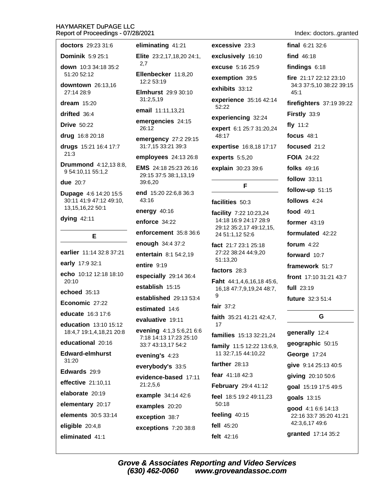doctors 29:23 31:6

**Dominik 5:9 25:1** 

down 10:3 34:18 35:2 51:20 52:12

downtown 26:13,16 27:14 28:9

dream  $15:20$ 

drifted 36:4

**Drive 50:22** 

drug 16:8 20:18

drugs 15:21 16:4 17:7  $21:3$ 

**Drummond** 4:12,13 8:8, 9 54:10,11 55:1,2

**due** 20:7

**Dupage 4:6 14:20 15:5** 30:11 41:9 47:12 49:10. 13, 15, 16, 22 50: 1

dying 42:11

E

earlier 11:14 32:8 37:21 early 17:9 32:1 echo 10:12 12:18 18:10  $20:10$ echoed  $35:13$ Economic 27:22 educate 16:3 17:6 education 13:10 15:12 18:4,7 19:1,4,18,21 20:8 educational 20:16 **Edward-elmhurst**  $31:20$ Edwards 29:9 effective 21:10,11 elaborate 20:19 elementary 20:17 elements 30:5 33:14

eligible  $20:4.8$ 

eliminated 41:1

eliminating 41:21

Elite 23:2,17,18,20 24:1,  $2.7$ 

Ellenbecker 11:8,20 12:2 53:19

**Elmhurst** 29:9 30:10  $31:2,5,19$ 

email 11:11,13,21

emergencies 24:15 26:12

emergency 27:2 29:15 31:7,15 33:21 39:3

employees 24:13 26:8

EMS 24:18 25:23 26:16 29:15 37:5 38:1,13,19 39:6,20 end 15:20 22:6,8 36:3  $43:16$ energy 40:16

enforce 34:22

enforcement 35:8 36:6

enough 34:4 37:2 entertain 8:1 54:2,19 entire  $9:19$ 

especially 29:14 36:4

establish 15:15

established 29:13 53:4

estimated 14:6

evaluative 19:11

evening 4:1,3 5:6,21 6:6 7:18 14:13 17:23 25:10 33:7 43:13,17 54:2

evening's 4:23

everybody's 33:5

evidence-based 17:11  $21:2.5.6$ example 34:14 42:6

examples 20:20

exception 38:7

exceptions 7:20 38:8

exclusively 16:10 excuse 5:16 25:9 exemption 39:5 exhibits 33:12 experience 35:16 42:14 52:22 experiencing 32:24 expert 6:1 25:7 31:20,24 48:17 expertise 16:8,18 17:17 experts  $5:5,20$ 

excessive 23:3

explain 30:23 39:6

F

#### facilities 50:3

facility 7:22 10:23,24 14:18 16:9 24:17 28:9 29:12 35:2.17 49:12.15. 24 51:1,12 52:6

fact 21:7 23:1 25:18 27:22 38:24 44:9,20 51:13,20

#### factors 28:3

Faht 44:1,4,6,16,18 45:6, 16,18 47:7,9,19,24 48:7, 9

fair  $37:2$ 

faith 35:21 41:21 42:4.7. 17

families 15:13 32:21,24 family 11:5 12:22 13:6,9, 11 32:7,15 44:10,22

farther  $28:13$ 

fear 41:18 42:3

February 29:4 41:12

feel 18:5 19:2 49:11,23 50:18

feeling  $40:15$ 

fell  $45:20$ 

felt  $42.16$ 

 $final$  6:21 32:6 find  $46:18$ findings  $6:18$ fire 21:17 22:12 23:10 34:3 37:5,10 38:22 39:15  $45:1$ firefighters 37:19 39:22 Firstly 33:9 fly  $11:2$ focus  $48:1$ focused 21:2 **FOIA 24:22** folks 49:16 follow 33:11 follow-up 51:15 follows 4:24 food 49:1 former  $43.19$ formulated 42:22 forum  $4:22$ 

forward 10:7

framework 51:7

front 17:10 31:21 43:7

full 23:19

future 32:3 51:4

#### G

generally 12:4 qeographic 50:15 George 17:24 give 9:14 25:13 40:5 giving 20:10 50:6 goal 15:19 17:5 49:5 goals 13:15 good 4:1 6:6 14:13 22:16 33:7 35:20 41:21 42:3.6.17 49:6

granted 17:14 35:2

Index: doctors..granted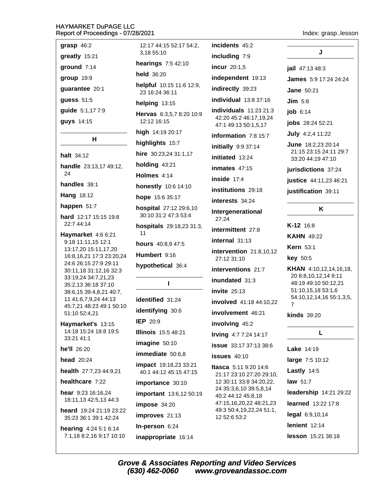| grasp 46:2        |
|-------------------|
| greatly 15:21     |
| ground $7:14$     |
| group 19:9        |
| guarantee 20:1    |
| guess 51:5        |
| guide 5:1,17 7:9  |
| <b>guys</b> 14:15 |

н

halt 34:12 handle 23:13,17 49:12, 24

handles 38:1

**Hang 18:12** 

happen  $51:7$ 

hard 12:17 15:15 19:8 22:7 44:14

Haymarket 4:6 6:21 9:18 11:11,15 12:1 13:17,20 15:11,17,20 16:8,16,21 17:3 23:20,24 24:6 26:15 27:9 29:11 30:11,18 31:12,16 32:3 33:19,24 34:7,21,23 35:2,13 36:18 37:10 38:6,15 39:4,8,21 40:7, 11 41:6.7.9.24 44:13 45:7,21 48:23 49:1 50:10 51:10 52:4,21

Haymarket's 13:15 14:18 15:24 18:8 19:5 33:21 41:1

he'll 26:20

head 20:24

health 27:7,23 44:9,21

healthcare 7:22

hear 9:23 16:16,24 18:11,13 42:5,13 44:3

heard 19:24 21:19 23:22 35:23 36:1 39:1 42:24

hearing 4:24 5:1 6:14 7:1,18 8:2,16 9:17 10:10

12:17 44:15 52:17 54:2, 3.18 55:10 hearings  $7:542:10$ held 36:20 helpful 10:15 11:6 12:9, 23 16:24 36:11 helping 13:15 Hervas 6:3,5,7 8:20 10:9 12:12 16:15 high 14:19 20:17 highlights 15:7 hire 30:23,24 31:1,17 holding  $43:21$ Holmes 4:14 honestly 10:6 14:10 hope 15:6 35:17 hospital 27:12 29:6,10 30:10 31:2 47:3 53:4 hospitals 29:18,23 31:3,  $11$ hours 40:8,9 47:5 Humbert 9:16 hypothetical 36:4  $\mathbf{I}$ identified 31:24 identifying 30:6 **IEP 20:9 Illinois** 15:5 48:21 imagine 50:10 immediate 50:6.8 **impact** 19:18.23 33:21 40:1 44:12 45:15 47:15 importance 30:10 important 13:6,12 50:19 impose 34:20 improves 21:13 In-person  $6:24$ 

incidents 45:2 including 7:9 **incur** 20:1,5 independent 19:13 indirectly 39:23 individual 13:8 37:16 individuals  $11:23$  21:3 42:20 45:2 46:17,19,24 47:1 49:13 50:1.5.17 information  $7:8$  15:7 initially 9:9 37:14 initiated 13:24 inmates  $47:15$ inside  $17:4$ institutions 29:18 interests 34:24 Intergenerational  $27:24$ intermittent 27:8  $internal$  31:13  $intervention$  21:8.10.12 27:12 31:10 interventions 21:7 inundated 31:3 invite  $25:13$ involved 41:18 44:10,22 involvement 46:21 involving 45:2 Irving 4:7 7:24 14:17 **issue** 33:17 37:13 38:6 **issues** 40:10 Itasca 5:11 9:20 14:6 21:17 23:10 27:20 29:10, 12 30:11 33:8 34:20,22, 24 35:3,6,10 39:5,8,14 40:2 44:12 45:8,18 47:15,16,20,22 48:21,23 49:3 50:4,19,22,24 51:1,

Index: grasp..lesson

J jail 47:13 48:3 James 5:9 17:24 24:24 **Jane 50:21**  $Jim 5:8$  $i$ ob 6:14 **jobs** 28:24 52:21 July 4:2,4 11:22 June 18:2,23 20:14 21:15 23:15 24:11 29:7 33:20 44:19 47:10 jurisdictions 37:24 justice 44:11,23 46:21 justification 39:11 K

# K-12 16:8

**KAHN 49:22 Kern 53:1** key 50:5 **KHAN** 4:10,12,14,16,18, 20 8:8,10,12,14 9:11 48:19 49:10 50:12,21 51:10,15,18 53:1,6 54:10,12,14,16 55:1,3,5,  $\overline{7}$ **kinds** 39:20 L. Lake 14:19 large 7:5 10:12 Lastly  $14:5$ 

law  $51.7$ leadership 14:21 29:22 learned 13:22 17:8 legal 6:9,10,14 lenient 12:14

lesson 15:21 38:18

inappropriate 16:14

12 52:6 53:2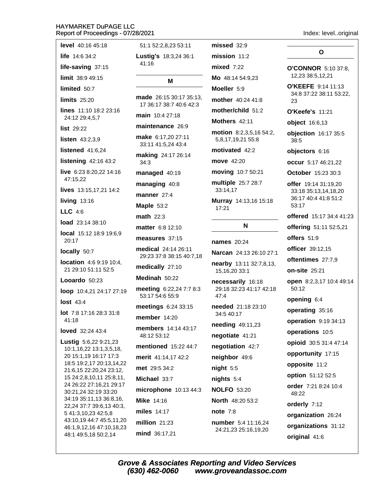| <b>level</b> 40:16 45:18                            | 51:1 52:2,8,23 53:11                                |  |
|-----------------------------------------------------|-----------------------------------------------------|--|
| <b>life</b> $14:634:2$                              | Lustig's 18:3,24 36:1                               |  |
| life-saving 37:15                                   | 41:16                                               |  |
| limit 38:949:15                                     | Μ                                                   |  |
| limited 50:7                                        |                                                     |  |
| limits 25:20                                        | made 26:15 30:17 35<br>17 36:17 38:7 40:6 42        |  |
| lines 11:10 18:2 23:16<br>24:12 29:4,5,7            | <b>main</b> $10:427:18$                             |  |
| list 29:22                                          | maintenance 26:9                                    |  |
| listen 43:2,3,9                                     | make 6:17,20 27:11<br>33:11 41:5,24 43:4            |  |
| listened 41:6,24                                    | making 24:17 26:14                                  |  |
| listening 42:16 43:2                                | 34:3                                                |  |
| live 6:23 8:20,22 14:16<br>47:15,22                 | managed 40:19                                       |  |
| lives 13:15,17,21 14:2                              | managing 40:8                                       |  |
| living 13:16                                        | manner 27:4                                         |  |
| LLC 4:6                                             | Maple 53:2                                          |  |
| load 23:14 38:10                                    | $math$ 22:3                                         |  |
| local 15:12 18:9 19:6,9                             | <b>matter</b> 6:8 12:10                             |  |
| 20:17                                               | measures 37:15                                      |  |
| locally 50:7                                        | <b>medical</b> 24:14 26:11<br>29:23 37:8 38:15 40:7 |  |
| location 4:6 9:19 10:4,<br>21 29:10 51:11 52:5      | medically 27:10                                     |  |
| Looardo 50:23                                       | Medinah 50:22                                       |  |
| loop 10:4,21 24:17 27:19                            | meeting 6:22,24 7:7<br>53:17 54:6 55:9              |  |
| $lost$ 43:4                                         | meetings 6:24 33:15                                 |  |
| <b>lot</b> $7:8$ 17:16 28:3 31:8<br>41:18           | member 14:20                                        |  |
| loved 32:24 43:4                                    | <b>members</b> 14:14 43:1<br>48:12 53:12            |  |
| Lustig 5:6,22 9:21,23<br>10:1,16,22 13:1,3,5,18,    | <b>mentioned</b> 15:22 44                           |  |
| 20 15:1,19 16:17 17:3                               | merit 41:14,17 42:2                                 |  |
| 18:5 19:2,17 20:13,14,22<br>21:6,15 22:20,24 23:12, | <b>met</b> 29:5 34:2                                |  |
| 15 24:2,8,10,11 25:8,11,                            | Michael 33:7                                        |  |
| 24 26:22 27:16,21 29:17<br>30:21,24 32:19 33:20     | microphone 10:13 4                                  |  |
| 34:19 35:11,13 36:8,16,                             | <b>Mike 14:16</b>                                   |  |
| 22,24 37:7 39:6,13 40:3,<br>5 41:3,10,23 42:5,8     | miles 14:17                                         |  |
| 43:10,19 44:7 45:5,11,20                            | million $21:23$                                     |  |
| 46:1,9,12,16 47:10,18,23<br>48:1 49:5,18 50:2,14    | mind 36:17,21                                       |  |
|                                                     |                                                     |  |

 $4.36:1$ mission  $11:2$ mixed  $7:22$ Mo 48:14 54:9,23 Moeller 5:9 17 35:13.  $0:642:3$  $6:9$  $7:11$  $3:4$  $6:14$ move 42:20 moving 10:7 50:21 multiple 25:7 28:7 33:14,17 17:21 O 5  $26:11$ 540:7,18 D. 4 7:7 8:3  $47:4$ 33:15 34:5 40:17 needing 49:11,23 43:17 22 44:7 negotiation 42:7  $12:2$ neighbor 49:6 night 5:5 nights 5:4  $2:1344:3$ note  $7:8$ 

 $missed 32:9$ 

mother 40:24 41:8

mother/child 51:2

Mothers 42:11

motion 8:2,3,5,16 54:2, 5,8,17,19,21 55:8

motivated 42:2

Murray 14:13,16 15:18

#### $\mathbf N$

names 20:24

Narcan 24:13 26:10 27:1

nearby 13:11 32:7,8,13, 15, 16, 20 33: 1

necessarily 16:18 29:18 32:23 41:17 42:18

needed 21:18 23:10

negotiate 41:21

**NOLFO** 53:20

North 48:20 53:2

number 5:4 11:16,24 24:21,23 25:16,19,20

Index: level..original

#### O

O'CONNOR 5:10 37:8. 12,23 38:5,12,21

O'KEEFE 9:14 11:13 34:8 37:22 38:11 53:22. 23

**O'Keefe's 11:21** 

object 16:6,13

objection 16:17 35:5  $38:5$ 

objectors 6:16

occur 5:17 46:21,22

October 15:23 30:3

offer 19:14 31:19,20 33:18 35:13,14,18,20 36:17 40:4 41:8 51:2 53:17

offered 15:17 34:4 41:23

offering 51:11 52:5,21

offers  $51:9$ 

officer 39:12,15

oftentimes 27:7,9

on-site 25:21

open 8:2,3,17 10:4 49:14 50:12

opening 6:4

operating 35:16

operation 9:19 34:13

operations 10:5

opioid 30:5 31:4 47:14

opportunity 17:15

opposite 11:2

option 51:12 52:5

order 7:21 8:24 10:4 48:22

orderly 7:12

organization 26:24

organizations 31:12 original 41:6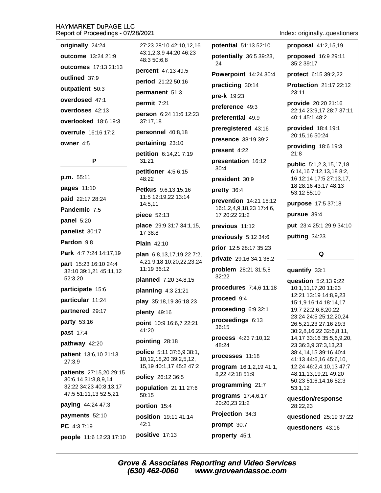originally 24:24 outcome 13:24 21:9 outcomes 17:13 21:13 outlined 37:9 outpatient 50:3 overdosed 47:1 overdoses 42:13 overlooked 18:6 19:3 overrule 16:16 17:2 owner 4:5

#### P

p.m. 55:11 pages 11:10 paid 22:17 28:24 Pandemic 7:5 panel  $5:20$ panelist 30:17 Pardon 9:8 Park 4:7 7:24 14:17,19 part 15:23 16:10 24:4 32:10 39:1,21 45:11,12 52:3,20 participate 15:6 particular 11:24 partnered 29:17 party 53:16 past 17:4 pathway 42:20 patient 13:6,10 21:13 27:3.9 patients 27:15,20 29:15 30:6,14 31:3,8,9,14 32:22 34:23 40:8,13,17 47:5 51:11,13 52:5,21 paying 44:24 47:3 payments 52:10 PC 4:37:19 people 11:6 12:23 17:10

27:23 28:10 42:10.12.16 43:1.2.3.9 44:20 46:23 48:3 50:6.8 percent 47:13 49:5 period 21:22 50:16

permanent 51:3

permit 7:21

person 6:24 11:6 12:23 37:17.18

personnel 40:8,18

pertaining 23:10

petition 6:14,21 7:19  $31:21$ 

petitioner 4:5 6:15 48:22

Petkus 9:6,13,15,16 11:5 12:19,22 13:14 14:5.11

piece 52:13

place 29:9 31:7 34:1,15, 17 38:8

**Plain** 42:10

plan 6:8,13,17,19,22 7:2, 4,21 9:18 10:20,22,23,24 11:19 36:12

planned 7:20 34:8,15

planning  $4:321:21$ 

play 35:18,19 36:18,23

plenty 49:16

point 10:9 16:6,7 22:21 41:20

#### pointing 28:18

police 5:11 37:5,9 38:1, 10,12,18,20 39:2,5,12, 15,19 40:1,17 45:2 47:2

policy 26:12 36:5

population 21:11 27:6  $50:15$ 

portion 15:4

position 19:11 41:14  $42:1$ positive 17:13

potentially 36:5 39:23, 24 **Powerpoint 14:24 30:4** practicing 30:14 pre-k 19:23 preference 49:3 preferential 49:9 preregistered 43:16 presence 38:19 39:2 present 4:22 presentation 16:12  $30:4$ president 30:9 pretty 36:4 prevention 14:21 15:12 16:1,2,4,9,18,23 17:4,6, 17 20:22 21:2 previous 11:12 previously 5:12 34:6 prior 12:5 28:17 35:23 private 29:16 34:1 36:2 problem 28:21 31:5,8 32:22 procedures 7:4,6 11:18 proceed 9:4 proceeding 6:9 32:1 proceedings 6:13 36:15

**potential** 51:13 52:10

process 4:23 7:10,12 48:24

processes 11:18

program 16:1,2,19 41:1, 8,22 42:18 51:9

programming 21:7

programs  $17:4,6,17$ 20:20.23 21:2

Projection 34:3

prompt 30:7 property 45:1 Index: originally..guestioners

proposal 41:2,15,19

proposed 16:9 29:11 35:2 39:17

protect 6:15 39:2,22

**Protection 21:17 22:12**  $23:11$ 

provide 20:20 21:16 22:14 23:9,17 28:7 37:11 40:1 45:1 48:2

**provided** 18:4 19:1 20:15,16 50:24

providing  $18:6 19:3$  $21:8$ 

public 5:1,2,3,15,17,18 6:14,16 7:12,13,18 8:2, 16 12:14 17:5 27:13,17, 18 28:16 43:17 48:13 53:12 55:10

purpose 17:5 37:18

pursue 39:4

put 23:4 25:1 29:9 34:10

putting 34:23

#### Q

#### quantify 33:1

question 5:2,13 9:22 10:1,11,17,20 11:23 12:21 13:19 14:8,9,23 15:1.9 16:14 18:14.17 19:7 22:2,6,8,20,22 23:24 24:5 25:12,20,24 26:5,21,23 27:16 29:3 30:2,8,16,22 32:6,8,11, 14,17 33:16 35:5,6,9,20, 23 36:3,9 37:3,13,23 38:4,14,15 39:16 40:4 41:13 44:6,16 45:6,10, 12,24 46:2,4,10,13 47:7 48:11,13,19,21 49:20 50:23 51:6,14,16 52:3 53:1,12

question/response 28:22.23

questioned 25:19 37:22

questioners 43:16

**Grove & Associates Reporting and Video Services** (630) 462-0060 www.groveandassoc.com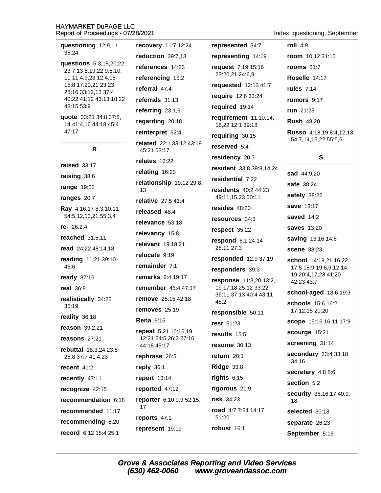| questioning 12:9,11                                | recovery 11:7 12:24                     | represented 34:7                               | roll $4:9$                                              |
|----------------------------------------------------|-----------------------------------------|------------------------------------------------|---------------------------------------------------------|
| 35:24                                              | reduction 39:7,13                       | representing 14:19                             | room 10:12 31:15                                        |
| questions 5:3,18,20,22,<br>23 7:13 8:19,22 9:5,10, | references 14:23                        | request 7:19 15:16                             | <b>rooms</b> 31:7                                       |
| 11 11:4,9,23 12:4,15                               | referencing 15:2                        | 23:20,21 24:6,9                                | Roselle 14:17                                           |
| 15:8 17:20,21 23:23<br>28:16 33:12,13 37:4         | referral 47:4                           | requested 12:13 41:7                           | <b>rules</b> 7:14                                       |
| 40:22 41:12 43:13,18,22                            | referrals 31:13                         | require 12:6 33:24                             | rumors 9:17                                             |
| 48:15 53:9                                         | referring $23:1,6$                      | required 19:14                                 | run 21:23                                               |
| quote 33:21 34:8 37:8,<br>14 41:4,16 44:18 45:4    | regarding 20:18                         | requirement 11:10,14,<br>18,22 12:1 39:18      | <b>Rush 48:20</b>                                       |
| 47:17                                              | reinterpret 52:4                        | requiring 30:15                                | <b>Russo</b> 4:18,19 8:4,12,13                          |
| R                                                  | related 22:1 33:12 43:19<br>45:21 53:17 | reserved 5:4                                   | 54:7,14,15,22 55:5,6                                    |
|                                                    | relates $16:22$                         | residency 20:7                                 | S                                                       |
| raised 33:17                                       | relating 16:23                          | resident 33:8 39:8,14,24                       | <b>sad</b> 44:9,20                                      |
| raising 38:6                                       | relationship 19:12 29:8,                | residential 7:22                               | <b>safe</b> 38:24                                       |
| range 19:22                                        | 13                                      | residents 40:2 44:23                           |                                                         |
| ranges 20:7                                        | relative 27:5 41:4                      | 49:11,15,23 50:11                              | safety 38:22                                            |
| Ray 4:16,17 8:3,10,11<br>54:5,12,13,21 55:3,4      | released 48:4                           | resides 48:20                                  | save 13:17                                              |
| $re-26:2,4$                                        | relevance 53:18                         | resources 34:3                                 | saved 14:2                                              |
| reached 31:5,11                                    | relevancy 15:8                          | respect 35:22                                  | <b>saves</b> 13:20                                      |
|                                                    | relevant 19:18,21                       | respond 6:1 24:14<br>26:11 27:3                | saving 13:16 14:6                                       |
| read 24:22 48:14,18                                | relocate 9:19                           | responded 12:9 37:19                           | <b>scene</b> 38:23                                      |
| reading 11:21 39:10<br>46:6                        | remainder 7:1                           | responders 39:3                                | <b>school</b> 14:19,21 16:22<br>17:5 18:9 19:6,9,12,14, |
| ready 37:16                                        | <b>remarks</b> 6:4 19:17                |                                                | 19 20:4,17,23 41:20                                     |
| real 36:8                                          | remember 45:4 47:17                     | response 11:3,20 13:2,<br>19 17:18 25:12 33:22 | 42:23 43:7                                              |
| realistically 34:22                                | remove 25:15 42:18                      | 36:11 37:13 40:4 43:11                         | school-aged 18:6 19:3                                   |
| 35:19                                              | removes 25:19                           | 45:2<br>responsible 50:11                      | <b>schools</b> 15:6 16:2<br>17:12,15 20:20              |
| reality 36:18                                      | <b>Rena</b> 9:15                        |                                                | scope 15:16 16:11 17:9                                  |
| reason $39:2,21$                                   | <b>repeat</b> 5:21 10:16,19             | <b>rest 51:23</b><br>results 15:5              | scourge 15:21                                           |
| reasons 27:21                                      | 12:21 24:5 26:3 27:16                   |                                                | screening 31:14                                         |
| rebuttal 18:3,24 23:8<br>26:8 37:7 41:4,23         | 44:18 49:17<br>rephrase 26:5            | resume $30:13$<br>return $20:1$                | secondary 23:4 33:18                                    |
| recent $41:2$                                      | reply 36:1                              | <b>Ridge 33:8</b>                              | 34:16                                                   |
| recently 47:11                                     | report $13:14$                          | rights $6:15$                                  | secretary 4:8 8:6                                       |
| recognize 42:15                                    | reported 47:12                          | rigorous 21:9                                  | section 5:2                                             |
| recommendation 6:18                                | reporter 6:10 9:9 52:15,                | $risk$ 34:23                                   | <b>security</b> 38:16,17 40:9,<br>18                    |
| recommended 11:17                                  | 17                                      | road 4:7 7:24 14:17                            | selected 30:18                                          |
| recommending 6:20                                  | reports 47:1                            | 51:20                                          | separate 26:23                                          |
| record 6:12 15:4 25:1                              | represent 19:19                         | robust 16:1                                    | September 5:16                                          |

Index: questioning..September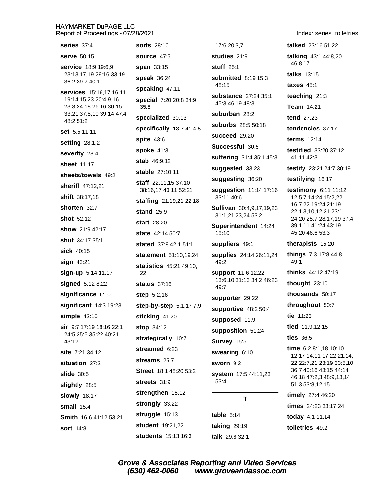Index: series..toiletries

| series 37:4                                        | <b>sorts</b> 28:10                           | 17:6 20:3,7                             | talked 23:16 51:22                                   |
|----------------------------------------------------|----------------------------------------------|-----------------------------------------|------------------------------------------------------|
| serve 50:15                                        | source 47:5                                  | studies 21:9                            | talking 43:1 44:8,20                                 |
| <b>service</b> 18:9 19:6,9                         | span 33:15                                   | <b>stuff</b> 25:1                       | 46:8,17                                              |
| 23:13,17,19 29:16 33:19<br>36:2 39:7 40:1          | speak 36:24                                  | submitted 8:19 15:3                     | talks 13:15                                          |
| services 15:16,17 16:11                            | speaking 47:11                               | 48:15                                   | taxes $45:1$                                         |
| 19:14, 15, 23 20:4, 9, 16                          | special 7:20 20:8 34:9                       | substance 27:24 35:1<br>45:3 46:19 48:3 | teaching 21:3                                        |
| 23:3 24:18 26:16 30:15<br>33:21 37:8,10 39:14 47:4 | 35:8                                         | suburban 28:2                           | Team 14:21                                           |
| 48:2 51:2                                          | specialized 30:13                            | suburbs 28:5 50:18                      | tend 27:23                                           |
| set 5:5 11:11                                      | specifically 13:7 41:4,5                     | succeed 29:20                           | tendencies 37:17                                     |
| <b>setting 28:1,2</b>                              | spite $43:6$                                 | Successful 30:5                         | terms 12:14                                          |
| severity 28:4                                      | spoke 41:3                                   | suffering 31:4 35:1 45:3                | testified 33:20 37:12<br>41:11 42:3                  |
| sheet 11:17                                        | stab 46:9,12                                 | suggested 33:23                         | testify 23:21 24:7 30:19                             |
| sheets/towels 49:2                                 | stable 27:10,11                              | suggesting 36:20                        | testifying 16:17                                     |
| sheriff 47:12,21                                   | staff 22:11,15 37:10<br>38:16,17 40:11 52:21 | suggestion 11:14 17:16                  | testimony 6:11 11:12                                 |
| shift 38:17,18                                     | staffing 21:19,21 22:18                      | 33:11 40:6                              | 12:5,7 14:24 15:2,22                                 |
| shorten 32:7                                       | <b>stand</b> 25:9                            | Sullivan 30:4,9,17,19,23                | 16:7,22 19:24 21:19<br>22:1,3,10,12,21 23:1          |
| <b>shot</b> 52:12                                  | start 28:20                                  | 31:1,21,23,24 53:2                      | 24:20 25:7 28:17,19 37:4                             |
| show 21:9 42:17                                    | <b>state</b> 42:14 50:7                      | Superintendent 14:24<br>15:10           | 39:1,11 41:24 43:19<br>45:20 46:6 53:3               |
|                                                    |                                              |                                         |                                                      |
| <b>shut</b> 34:17 35:1                             |                                              |                                         |                                                      |
| sick 40:15                                         | stated 37:8 42:1 51:1                        | suppliers 49:1                          | therapists 15:20                                     |
| sign 43:21                                         | statement 51:10,19,24                        | supplies 24:14 26:11,24<br>49:2         | things 7:3 17:8 44:8<br>49:1                         |
| sign-up 5:14 11:17                                 | <b>statistics</b> 45:21 49:10,<br>22         | support 11:6 12:22                      | <b>thinks</b> 44:12 47:19                            |
| signed 5:12 8:22                                   | <b>status</b> 37:16                          | 13:6,10 31:13 34:2 46:23                | thought 23:10                                        |
| significance 6:10                                  | <b>step</b> $5:2,16$                         | 49:7                                    | thousands 50:17                                      |
| significant $14:319:23$                            | step-by-step 5:1,177:9                       | supporter 29:22                         | throughout 50:7                                      |
| simple $42:10$                                     | sticking 41:20                               | supportive 48:2 50:4                    | tie 11:23                                            |
| <b>sir</b> 9:7 17:19 18:16 22:1                    | stop 34:12                                   | supposed 11:9<br>supposition 51:24      | tied 11:9,12,15                                      |
| 24:5 25:5 35:22 40:21<br>43:12                     | strategically 10:7                           |                                         | ties 36:5                                            |
|                                                    | streamed 6:23                                | Survey 15:5                             | time 6:2 8:1,18 10:10                                |
| site 7:21 34:12<br>situation 27:2                  | streams 25:7                                 | swearing 6:10                           | 12:17 14:11 17:22 21:14,<br>22 22:7,21 23:19 33:5,10 |
| slide 30:5                                         | Street 18:1 48:20 53:2                       | sworn 9:2                               | 36:7 40:16 43:15 44:14                               |
|                                                    | streets 31:9                                 | system 17:5 44:11,23<br>53:4            | 46:18 47:2,3 48:9,13,14<br>51:3 53:8,12,15           |
| slightly 28:5                                      | strengthen 15:12                             |                                         | timely 27:4 46:20                                    |
| <b>slowly</b> 18:17<br>small $15:4$                | strongly 33:22                               | T                                       | times 24:23 33:17,24                                 |
| <b>Smith</b> 16:6 41:12 53:21                      | struggle 15:13                               | table $5:14$                            | today 4:1 11:14                                      |
| <b>sort</b> 14:8                                   | <b>student</b> 19:21,22                      | <b>taking 29:19</b>                     | toiletries 49:2                                      |

Grove & Associates Reporting and Video Services<br>(630) 462-0060 www.groveandassoc.com